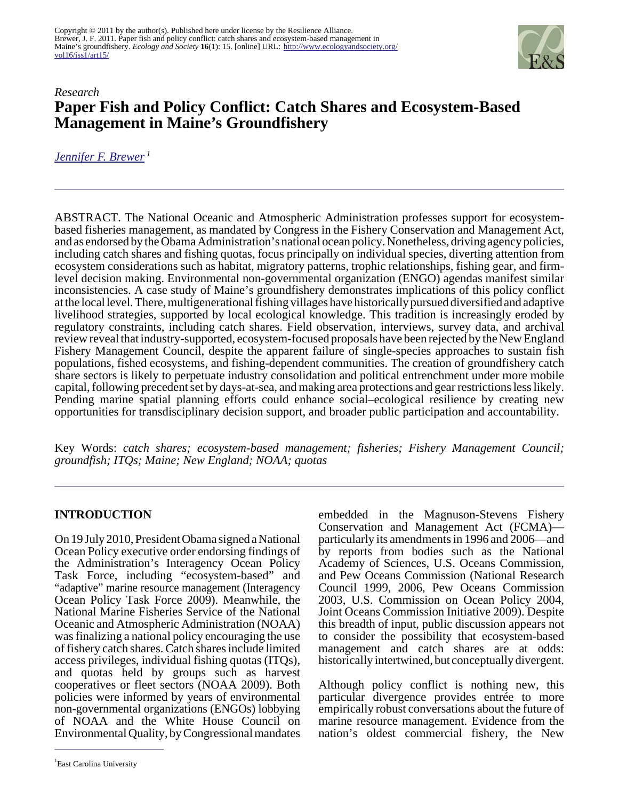

# *Research* **Paper Fish and Policy Conflict: Catch Shares and Ecosystem-Based Management in Maine's Groundfishery**

*[Jennifer F. Brewer](mailto:brewerj@ecu.edu)<sup>1</sup>*

ABSTRACT. The National Oceanic and Atmospheric Administration professes support for ecosystembased fisheries management, as mandated by Congress in the Fishery Conservation and Management Act, and as endorsed by the Obama Administration's national ocean policy. Nonetheless, driving agency policies, including catch shares and fishing quotas, focus principally on individual species, diverting attention from ecosystem considerations such as habitat, migratory patterns, trophic relationships, fishing gear, and firmlevel decision making. Environmental non-governmental organization (ENGO) agendas manifest similar inconsistencies. A case study of Maine's groundfishery demonstrates implications of this policy conflict at the local level. There, multigenerational fishing villages have historically pursued diversified and adaptive livelihood strategies, supported by local ecological knowledge. This tradition is increasingly eroded by regulatory constraints, including catch shares. Field observation, interviews, survey data, and archival review reveal that industry-supported, ecosystem-focused proposals have been rejected by the New England Fishery Management Council, despite the apparent failure of single-species approaches to sustain fish populations, fished ecosystems, and fishing-dependent communities. The creation of groundfishery catch share sectors is likely to perpetuate industry consolidation and political entrenchment under more mobile capital, following precedent set by days-at-sea, and making area protections and gear restrictions less likely. Pending marine spatial planning efforts could enhance social–ecological resilience by creating new opportunities for transdisciplinary decision support, and broader public participation and accountability.

Key Words: *catch shares; ecosystem-based management; fisheries; Fishery Management Council; groundfish; ITQs; Maine; New England; NOAA; quotas*

### **INTRODUCTION**

On 19 July 2010, President Obama signed a National Ocean Policy executive order endorsing findings of the Administration's Interagency Ocean Policy Task Force, including "ecosystem-based" and "adaptive" marine resource management (Interagency Ocean Policy Task Force 2009). Meanwhile, the National Marine Fisheries Service of the National Oceanic and Atmospheric Administration (NOAA) was finalizing a national policy encouraging the use of fishery catch shares. Catch shares include limited access privileges, individual fishing quotas (ITQs), and quotas held by groups such as harvest cooperatives or fleet sectors (NOAA 2009). Both policies were informed by years of environmental non-governmental organizations (ENGOs) lobbying of NOAA and the White House Council on Environmental Quality, by Congressional mandates

Conservation and Management Act (FCMA) particularly its amendments in 1996 and 2006—and by reports from bodies such as the National Academy of Sciences, U.S. Oceans Commission, and Pew Oceans Commission (National Research Council 1999, 2006, Pew Oceans Commission 2003, U.S. Commission on Ocean Policy 2004, Joint Oceans Commission Initiative 2009). Despite this breadth of input, public discussion appears not to consider the possibility that ecosystem-based management and catch shares are at odds: historically intertwined, but conceptually divergent.

embedded in the Magnuson-Stevens Fishery

Although policy conflict is nothing new, this particular divergence provides entrée to more empirically robust conversations about the future of marine resource management. Evidence from the nation's oldest commercial fishery, the New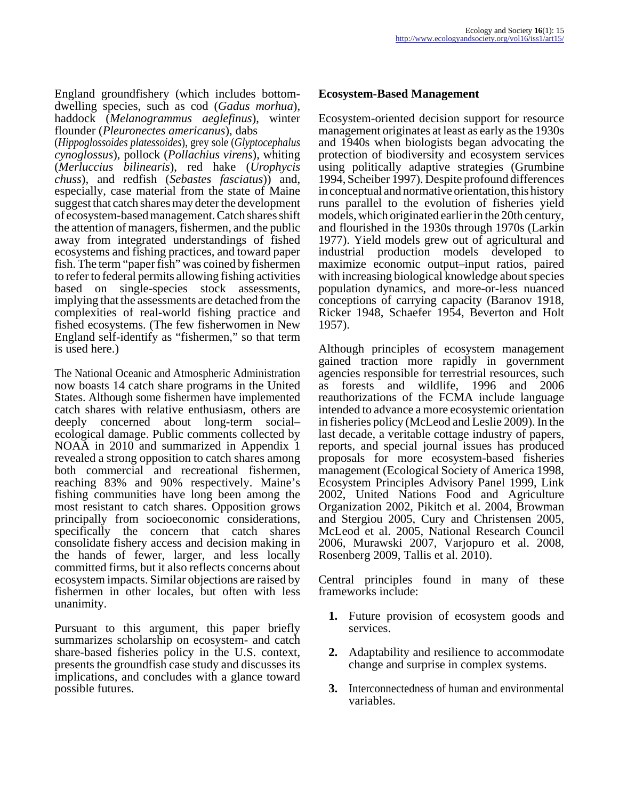England groundfishery (which includes bottomdwelling species, such as cod (*Gadus morhua*), haddock (*Melanogrammus aeglefinus*), winter flounder (*Pleuronectes americanus*), dabs

(*Hippoglossoides platessoides*), grey sole (*Glyptocephalus cynoglossus*), pollock (*Pollachius virens*), whiting (*Merluccius bilinearis*), red hake (*Urophycis chuss*), and redfish (*Sebastes fasciatus*)) and, especially, case material from the state of Maine suggest that catch shares may deter the development of ecosystem-based management. Catch shares shift the attention of managers, fishermen, and the public away from integrated understandings of fished ecosystems and fishing practices, and toward paper fish. The term "paper fish" was coined by fishermen to refer to federal permits allowing fishing activities based on single-species stock assessments, implying that the assessments are detached from the complexities of real-world fishing practice and fished ecosystems. (The few fisherwomen in New England self-identify as "fishermen," so that term is used here.)

The National Oceanic and Atmospheric Administration now boasts 14 catch share programs in the United States. Although some fishermen have implemented catch shares with relative enthusiasm, others are deeply concerned about long-term social– ecological damage. Public comments collected by NOAA in 2010 and summarized in Appendix 1 revealed a strong opposition to catch shares among both commercial and recreational fishermen, reaching 83% and 90% respectively. Maine's fishing communities have long been among the most resistant to catch shares. Opposition grows principally from socioeconomic considerations, specifically the concern that catch shares consolidate fishery access and decision making in the hands of fewer, larger, and less locally committed firms, but it also reflects concerns about ecosystem impacts. Similar objections are raised by fishermen in other locales, but often with less unanimity.

Pursuant to this argument, this paper briefly summarizes scholarship on ecosystem- and catch share-based fisheries policy in the U.S. context, presents the groundfish case study and discusses its implications, and concludes with a glance toward possible futures.

#### **Ecosystem-Based Management**

Ecosystem-oriented decision support for resource management originates at least as early as the 1930s and 1940s when biologists began advocating the protection of biodiversity and ecosystem services using politically adaptive strategies (Grumbine 1994, Scheiber 1997). Despite profound differences in conceptual and normative orientation, this history runs parallel to the evolution of fisheries yield models, which originated earlier in the 20th century, and flourished in the 1930s through 1970s (Larkin 1977). Yield models grew out of agricultural and industrial production models developed to maximize economic output–input ratios, paired with increasing biological knowledge about species population dynamics, and more-or-less nuanced conceptions of carrying capacity (Baranov 1918, Ricker 1948, Schaefer 1954, Beverton and Holt 1957).

Although principles of ecosystem management gained traction more rapidly in government agencies responsible for terrestrial resources, such as forests and wildlife, 1996 and 2006 reauthorizations of the FCMA include language intended to advance a more ecosystemic orientation in fisheries policy (McLeod and Leslie 2009). In the last decade, a veritable cottage industry of papers, reports, and special journal issues has produced proposals for more ecosystem-based fisheries management (Ecological Society of America 1998, Ecosystem Principles Advisory Panel 1999, Link 2002, United Nations Food and Agriculture Organization 2002, Pikitch et al. 2004, Browman and Stergiou 2005, Cury and Christensen 2005, McLeod et al. 2005, National Research Council 2006, Murawski 2007, Varjopuro et al. 2008, Rosenberg 2009, Tallis et al. 2010).

Central principles found in many of these frameworks include:

- **1.** Future provision of ecosystem goods and services.
- **2.** Adaptability and resilience to accommodate change and surprise in complex systems.
- **3.** Interconnectedness of human and environmental variables.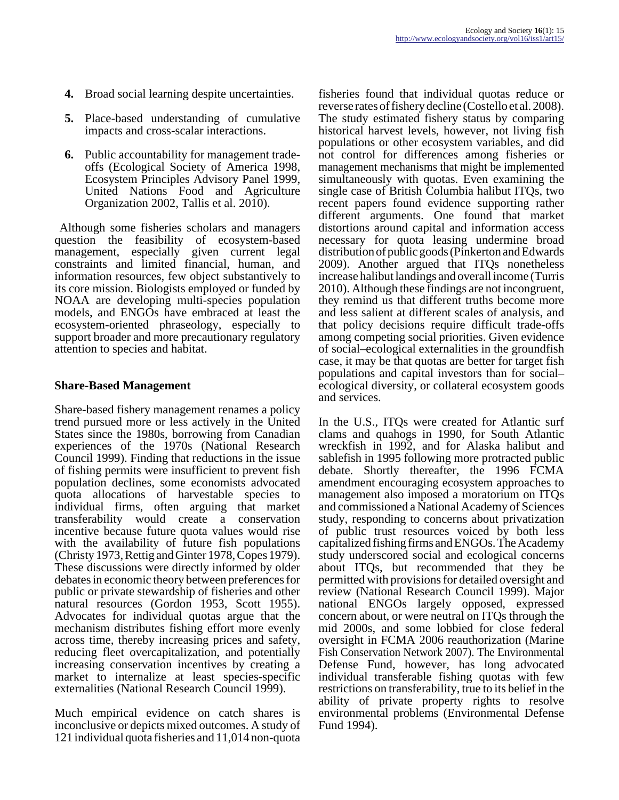- **4.** Broad social learning despite uncertainties.
- **5.** Place-based understanding of cumulative impacts and cross-scalar interactions.
- **6.** Public accountability for management tradeoffs (Ecological Society of America 1998, Ecosystem Principles Advisory Panel 1999, United Nations Food and Agriculture Organization 2002, Tallis et al. 2010).

 Although some fisheries scholars and managers question the feasibility of ecosystem-based management, especially given current legal constraints and limited financial, human, and information resources, few object substantively to its core mission. Biologists employed or funded by NOAA are developing multi-species population models, and ENGOs have embraced at least the ecosystem-oriented phraseology, especially to support broader and more precautionary regulatory attention to species and habitat.

#### **Share-Based Management**

Share-based fishery management renames a policy trend pursued more or less actively in the United States since the 1980s, borrowing from Canadian experiences of the 1970s (National Research Council 1999). Finding that reductions in the issue of fishing permits were insufficient to prevent fish population declines, some economists advocated quota allocations of harvestable species to individual firms, often arguing that market transferability would create a conservation incentive because future quota values would rise with the availability of future fish populations (Christy 1973, Rettig and Ginter 1978, Copes 1979). These discussions were directly informed by older debates in economic theory between preferences for public or private stewardship of fisheries and other natural resources (Gordon 1953, Scott 1955). Advocates for individual quotas argue that the mechanism distributes fishing effort more evenly across time, thereby increasing prices and safety, reducing fleet overcapitalization, and potentially increasing conservation incentives by creating a market to internalize at least species-specific externalities (National Research Council 1999).

Much empirical evidence on catch shares is inconclusive or depicts mixed outcomes. A study of 121 individual quota fisheries and 11,014 non-quota

fisheries found that individual quotas reduce or reverse rates of fishery decline (Costello et al. 2008). The study estimated fishery status by comparing historical harvest levels, however, not living fish populations or other ecosystem variables, and did not control for differences among fisheries or management mechanisms that might be implemented simultaneously with quotas. Even examining the single case of British Columbia halibut ITQs, two recent papers found evidence supporting rather different arguments. One found that market distortions around capital and information access necessary for quota leasing undermine broad distribution of public goods (Pinkerton and Edwards 2009). Another argued that ITQs nonetheless increase halibut landings and overall income (Turris 2010). Although these findings are not incongruent, they remind us that different truths become more and less salient at different scales of analysis, and that policy decisions require difficult trade-offs among competing social priorities. Given evidence of social–ecological externalities in the groundfish case, it may be that quotas are better for target fish populations and capital investors than for social– ecological diversity, or collateral ecosystem goods and services.

In the U.S., ITQs were created for Atlantic surf clams and quahogs in 1990, for South Atlantic wreckfish in 1992, and for Alaska halibut and sablefish in 1995 following more protracted public debate. Shortly thereafter, the 1996 FCMA amendment encouraging ecosystem approaches to management also imposed a moratorium on ITQs and commissioned a National Academy of Sciences study, responding to concerns about privatization of public trust resources voiced by both less capitalized fishing firms and ENGOs. The Academy study underscored social and ecological concerns about ITQs, but recommended that they be permitted with provisions for detailed oversight and review (National Research Council 1999). Major national ENGOs largely opposed, expressed concern about, or were neutral on ITQs through the mid 2000s, and some lobbied for close federal oversight in FCMA 2006 reauthorization (Marine Fish Conservation Network 2007). The Environmental Defense Fund, however, has long advocated individual transferable fishing quotas with few restrictions on transferability, true to its belief in the ability of private property rights to resolve environmental problems (Environmental Defense Fund 1994).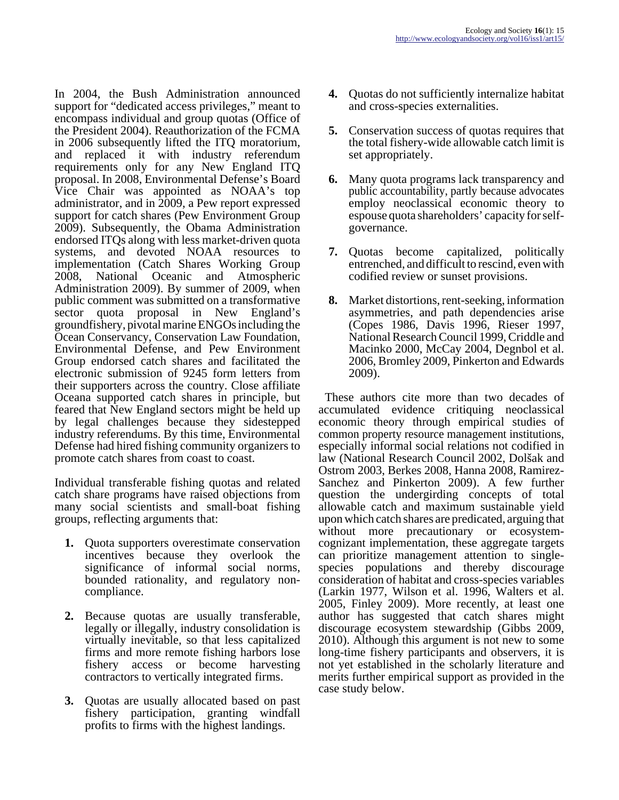In 2004, the Bush Administration announced support for "dedicated access privileges," meant to encompass individual and group quotas (Office of the President 2004). Reauthorization of the FCMA in 2006 subsequently lifted the ITQ moratorium, and replaced it with industry referendum requirements only for any New England ITQ proposal. In 2008, Environmental Defense's Board Vice Chair was appointed as NOAA's top administrator, and in 2009, a Pew report expressed support for catch shares (Pew Environment Group 2009). Subsequently, the Obama Administration endorsed ITQs along with less market-driven quota systems, and devoted NOAA resources to implementation (Catch Shares Working Group 2008, National Oceanic and Atmospheric Administration 2009). By summer of 2009, when public comment was submitted on a transformative sector quota proposal in New England's groundfishery, pivotal marine ENGOs including the Ocean Conservancy, Conservation Law Foundation, Environmental Defense, and Pew Environment Group endorsed catch shares and facilitated the electronic submission of 9245 form letters from their supporters across the country. Close affiliate Oceana supported catch shares in principle, but feared that New England sectors might be held up by legal challenges because they sidestepped industry referendums. By this time, Environmental Defense had hired fishing community organizers to promote catch shares from coast to coast.

Individual transferable fishing quotas and related catch share programs have raised objections from many social scientists and small-boat fishing groups, reflecting arguments that:

- **1.** Quota supporters overestimate conservation incentives because they overlook the significance of informal social norms, bounded rationality, and regulatory noncompliance.
- **2.** Because quotas are usually transferable, legally or illegally, industry consolidation is virtually inevitable, so that less capitalized firms and more remote fishing harbors lose fishery access or become harvesting contractors to vertically integrated firms.
- **3.** Quotas are usually allocated based on past fishery participation, granting windfall profits to firms with the highest landings.
- **4.** Quotas do not sufficiently internalize habitat and cross-species externalities.
- **5.** Conservation success of quotas requires that the total fishery-wide allowable catch limit is set appropriately.
- **6.** Many quota programs lack transparency and public accountability, partly because advocates employ neoclassical economic theory to espouse quota shareholders' capacity for selfgovernance.
- **7.** Quotas become capitalized, politically entrenched, and difficult to rescind, even with codified review or sunset provisions.
- **8.** Market distortions, rent-seeking, information asymmetries, and path dependencies arise (Copes 1986, Davis 1996, Rieser 1997, National Research Council 1999, Criddle and Macinko 2000, McCay 2004, Degnbol et al. 2006, Bromley 2009, Pinkerton and Edwards 2009).

 These authors cite more than two decades of accumulated evidence critiquing neoclassical economic theory through empirical studies of common property resource management institutions, especially informal social relations not codified in law (National Research Council 2002, Dolšak and Ostrom 2003, Berkes 2008, Hanna 2008, Ramirez-Sanchez and Pinkerton 2009). A few further question the undergirding concepts of total allowable catch and maximum sustainable yield upon which catch shares are predicated, arguing that without more precautionary or ecosystemcognizant implementation, these aggregate targets can prioritize management attention to singlespecies populations and thereby discourage consideration of habitat and cross-species variables (Larkin 1977, Wilson et al. 1996, Walters et al. 2005, Finley 2009). More recently, at least one author has suggested that catch shares might discourage ecosystem stewardship (Gibbs 2009, 2010). Although this argument is not new to some long-time fishery participants and observers, it is not yet established in the scholarly literature and merits further empirical support as provided in the case study below.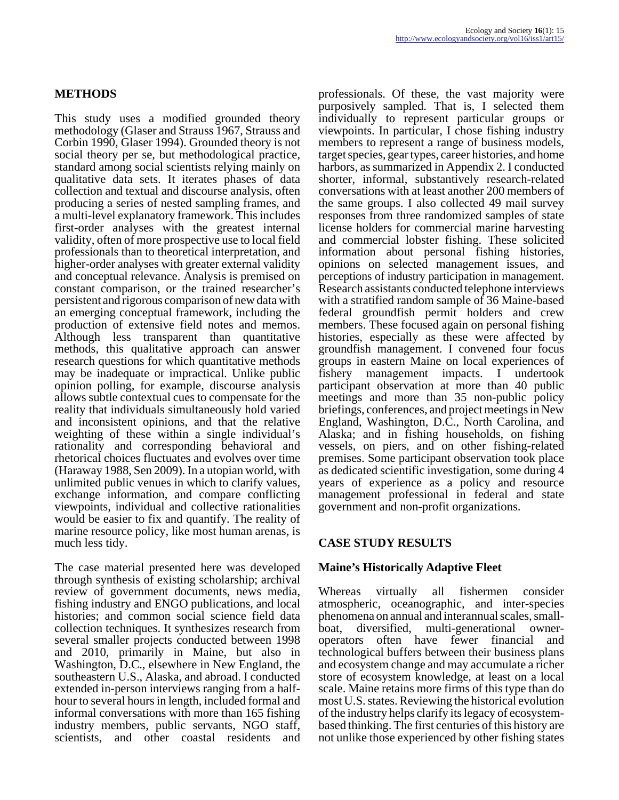## **METHODS**

This study uses a modified grounded theory methodology (Glaser and Strauss 1967, Strauss and Corbin 1990, Glaser 1994). Grounded theory is not social theory per se, but methodological practice, standard among social scientists relying mainly on qualitative data sets. It iterates phases of data collection and textual and discourse analysis, often producing a series of nested sampling frames, and a multi-level explanatory framework. This includes first-order analyses with the greatest internal validity, often of more prospective use to local field professionals than to theoretical interpretation, and higher-order analyses with greater external validity and conceptual relevance. Analysis is premised on constant comparison, or the trained researcher's persistent and rigorous comparison of new data with an emerging conceptual framework, including the production of extensive field notes and memos. Although less transparent than quantitative methods, this qualitative approach can answer research questions for which quantitative methods may be inadequate or impractical. Unlike public opinion polling, for example, discourse analysis allows subtle contextual cues to compensate for the reality that individuals simultaneously hold varied and inconsistent opinions, and that the relative weighting of these within a single individual's rationality and corresponding behavioral and rhetorical choices fluctuates and evolves over time (Haraway 1988, Sen 2009). In a utopian world, with unlimited public venues in which to clarify values, exchange information, and compare conflicting viewpoints, individual and collective rationalities would be easier to fix and quantify. The reality of marine resource policy, like most human arenas, is much less tidy.

The case material presented here was developed through synthesis of existing scholarship; archival review of government documents, news media, fishing industry and ENGO publications, and local histories; and common social science field data collection techniques. It synthesizes research from several smaller projects conducted between 1998 and 2010, primarily in Maine, but also in Washington, D.C., elsewhere in New England, the southeastern U.S., Alaska, and abroad. I conducted extended in-person interviews ranging from a halfhour to several hours in length, included formal and informal conversations with more than 165 fishing industry members, public servants, NGO staff, scientists, and other coastal residents and

professionals. Of these, the vast majority were purposively sampled. That is, I selected them individually to represent particular groups or viewpoints. In particular, I chose fishing industry members to represent a range of business models, target species, gear types, career histories, and home harbors, as summarized in Appendix 2. I conducted shorter, informal, substantively research-related conversations with at least another 200 members of the same groups. I also collected 49 mail survey responses from three randomized samples of state license holders for commercial marine harvesting and commercial lobster fishing. These solicited information about personal fishing histories, opinions on selected management issues, and perceptions of industry participation in management. Research assistants conducted telephone interviews with a stratified random sample of 36 Maine-based federal groundfish permit holders and crew members. These focused again on personal fishing histories, especially as these were affected by groundfish management. I convened four focus groups in eastern Maine on local experiences of fishery management impacts. I undertook participant observation at more than 40 public meetings and more than 35 non-public policy briefings, conferences, and project meetings in New England, Washington, D.C., North Carolina, and Alaska; and in fishing households, on fishing vessels, on piers, and on other fishing-related premises. Some participant observation took place as dedicated scientific investigation, some during 4 years of experience as a policy and resource management professional in federal and state government and non-profit organizations.

### **CASE STUDY RESULTS**

### **Maine's Historically Adaptive Fleet**

Whereas virtually all fishermen consider atmospheric, oceanographic, and inter-species phenomena on annual and interannual scales, smallboat, diversified, multi-generational owneroperators often have fewer financial and technological buffers between their business plans and ecosystem change and may accumulate a richer store of ecosystem knowledge, at least on a local scale. Maine retains more firms of this type than do most U.S. states. Reviewing the historical evolution of the industry helps clarify its legacy of ecosystembased thinking. The first centuries of this history are not unlike those experienced by other fishing states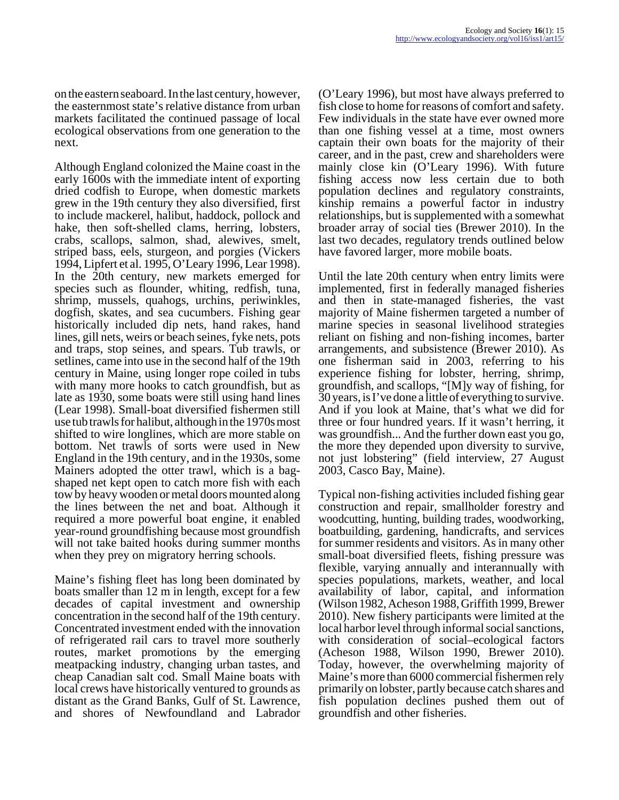on the eastern seaboard. In the last century, however, the easternmost state's relative distance from urban markets facilitated the continued passage of local ecological observations from one generation to the next.

Although England colonized the Maine coast in the early 1600s with the immediate intent of exporting dried codfish to Europe, when domestic markets grew in the 19th century they also diversified, first to include mackerel, halibut, haddock, pollock and hake, then soft-shelled clams, herring, lobsters, crabs, scallops, salmon, shad, alewives, smelt, striped bass, eels, sturgeon, and porgies (Vickers 1994, Lipfert et al. 1995, O'Leary 1996, Lear 1998). In the 20th century, new markets emerged for species such as flounder, whiting, redfish, tuna, shrimp, mussels, quahogs, urchins, periwinkles, dogfish, skates, and sea cucumbers. Fishing gear historically included dip nets, hand rakes, hand lines, gill nets, weirs or beach seines, fyke nets, pots and traps, stop seines, and spears. Tub trawls, or setlines, came into use in the second half of the 19th century in Maine, using longer rope coiled in tubs with many more hooks to catch groundfish, but as late as 1930, some boats were still using hand lines (Lear 1998). Small-boat diversified fishermen still use tub trawls for halibut, although in the 1970s most shifted to wire longlines, which are more stable on bottom. Net trawls of sorts were used in New England in the 19th century, and in the 1930s, some Mainers adopted the otter trawl, which is a bagshaped net kept open to catch more fish with each tow by heavy wooden or metal doors mounted along the lines between the net and boat. Although it required a more powerful boat engine, it enabled year-round groundfishing because most groundfish will not take baited hooks during summer months when they prey on migratory herring schools.

Maine's fishing fleet has long been dominated by boats smaller than 12 m in length, except for a few decades of capital investment and ownership concentration in the second half of the 19th century. Concentrated investment ended with the innovation of refrigerated rail cars to travel more southerly routes, market promotions by the emerging meatpacking industry, changing urban tastes, and cheap Canadian salt cod. Small Maine boats with local crews have historically ventured to grounds as distant as the Grand Banks, Gulf of St. Lawrence, and shores of Newfoundland and Labrador

(O'Leary 1996), but most have always preferred to fish close to home for reasons of comfort and safety. Few individuals in the state have ever owned more than one fishing vessel at a time, most owners captain their own boats for the majority of their career, and in the past, crew and shareholders were mainly close kin (O'Leary 1996). With future fishing access now less certain due to both population declines and regulatory constraints, kinship remains a powerful factor in industry relationships, but is supplemented with a somewhat broader array of social ties (Brewer 2010). In the last two decades, regulatory trends outlined below have favored larger, more mobile boats.

Until the late 20th century when entry limits were implemented, first in federally managed fisheries and then in state-managed fisheries, the vast majority of Maine fishermen targeted a number of marine species in seasonal livelihood strategies reliant on fishing and non-fishing incomes, barter arrangements, and subsistence (Brewer 2010). As one fisherman said in 2003, referring to his experience fishing for lobster, herring, shrimp, groundfish, and scallops, "[M]y way of fishing, for 30 years, is I've done a little of everything to survive. And if you look at Maine, that's what we did for three or four hundred years. If it wasn't herring, it was groundfish... And the further down east you go, the more they depended upon diversity to survive, not just lobstering" (field interview, 27 August 2003, Casco Bay, Maine).

Typical non-fishing activities included fishing gear construction and repair, smallholder forestry and woodcutting, hunting, building trades, woodworking, boatbuilding, gardening, handicrafts, and services for summer residents and visitors. As in many other small-boat diversified fleets, fishing pressure was flexible, varying annually and interannually with species populations, markets, weather, and local availability of labor, capital, and information (Wilson 1982, Acheson 1988, Griffith 1999, Brewer 2010). New fishery participants were limited at the local harbor level through informal social sanctions, with consideration of social–ecological factors (Acheson 1988, Wilson 1990, Brewer 2010). Today, however, the overwhelming majority of Maine's more than 6000 commercial fishermen rely primarily on lobster, partly because catch shares and fish population declines pushed them out of groundfish and other fisheries.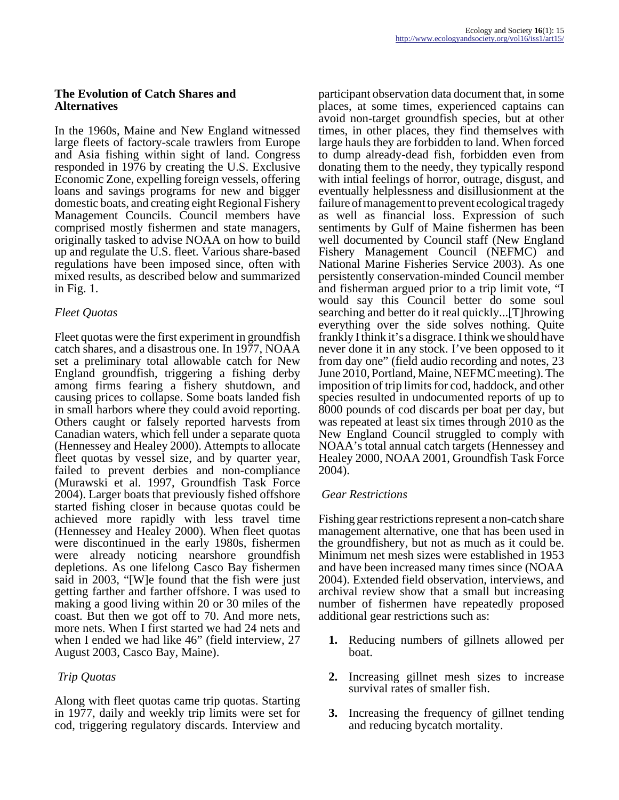#### **The Evolution of Catch Shares and Alternatives**

In the 1960s, Maine and New England witnessed large fleets of factory-scale trawlers from Europe and Asia fishing within sight of land. Congress responded in 1976 by creating the U.S. Exclusive Economic Zone, expelling foreign vessels, offering loans and savings programs for new and bigger domestic boats, and creating eight Regional Fishery Management Councils. Council members have comprised mostly fishermen and state managers, originally tasked to advise NOAA on how to build up and regulate the U.S. fleet. Various share-based regulations have been imposed since, often with mixed results, as described below and summarized in Fig. 1.

## *Fleet Quotas*

Fleet quotas were the first experiment in groundfish catch shares, and a disastrous one. In 1977, NOAA set a preliminary total allowable catch for New England groundfish, triggering a fishing derby among firms fearing a fishery shutdown, and causing prices to collapse. Some boats landed fish in small harbors where they could avoid reporting. Others caught or falsely reported harvests from Canadian waters, which fell under a separate quota (Hennessey and Healey 2000). Attempts to allocate fleet quotas by vessel size, and by quarter year, failed to prevent derbies and non-compliance (Murawski et al. 1997, Groundfish Task Force 2004). Larger boats that previously fished offshore started fishing closer in because quotas could be achieved more rapidly with less travel time (Hennessey and Healey 2000). When fleet quotas were discontinued in the early 1980s, fishermen were already noticing nearshore groundfish depletions. As one lifelong Casco Bay fishermen said in 2003, "[W]e found that the fish were just getting farther and farther offshore. I was used to making a good living within 20 or 30 miles of the coast. But then we got off to 70. And more nets, more nets. When I first started we had 24 nets and when I ended we had like 46" (field interview, 27) August 2003, Casco Bay, Maine).

## *Trip Quotas*

Along with fleet quotas came trip quotas. Starting in 1977, daily and weekly trip limits were set for cod, triggering regulatory discards. Interview and participant observation data document that, in some places, at some times, experienced captains can avoid non-target groundfish species, but at other times, in other places, they find themselves with large hauls they are forbidden to land. When forced to dump already-dead fish, forbidden even from donating them to the needy, they typically respond with intial feelings of horror, outrage, disgust, and eventually helplessness and disillusionment at the failure of management to prevent ecological tragedy as well as financial loss. Expression of such sentiments by Gulf of Maine fishermen has been well documented by Council staff (New England Fishery Management Council (NEFMC) and National Marine Fisheries Service 2003). As one persistently conservation-minded Council member and fisherman argued prior to a trip limit vote, "I would say this Council better do some soul searching and better do it real quickly...[T]hrowing everything over the side solves nothing. Quite frankly I think it's a disgrace. I think we should have never done it in any stock. I've been opposed to it from day one" (field audio recording and notes, 23 June 2010, Portland, Maine, NEFMC meeting). The imposition of trip limits for cod, haddock, and other species resulted in undocumented reports of up to 8000 pounds of cod discards per boat per day, but was repeated at least six times through 2010 as the New England Council struggled to comply with NOAA's total annual catch targets (Hennessey and Healey 2000, NOAA 2001, Groundfish Task Force 2004).

### *Gear Restrictions*

Fishing gear restrictions represent a non-catch share management alternative, one that has been used in the groundfishery, but not as much as it could be. Minimum net mesh sizes were established in 1953 and have been increased many times since (NOAA 2004). Extended field observation, interviews, and archival review show that a small but increasing number of fishermen have repeatedly proposed additional gear restrictions such as:

- **1.** Reducing numbers of gillnets allowed per boat.
- **2.** Increasing gillnet mesh sizes to increase survival rates of smaller fish.
- **3.** Increasing the frequency of gillnet tending and reducing bycatch mortality.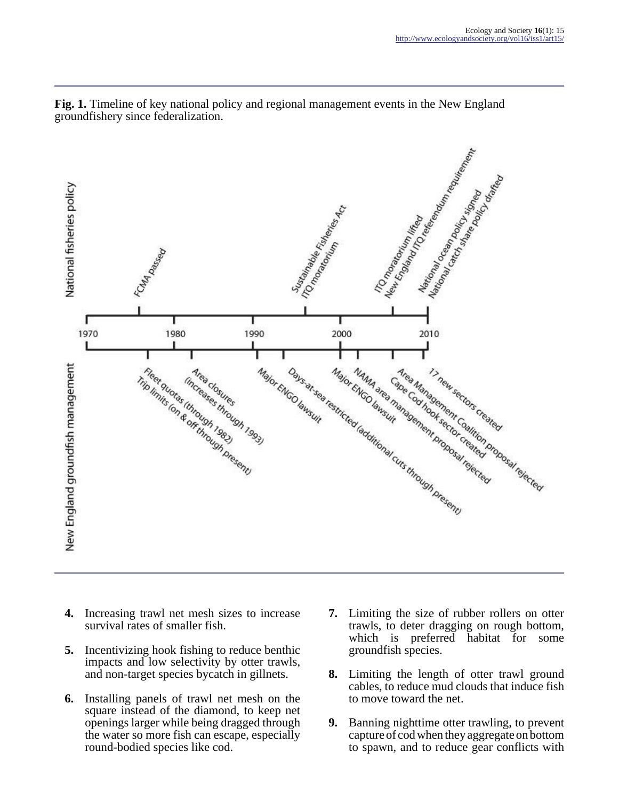

**Fig. 1.** Timeline of key national policy and regional management events in the New England groundfishery since federalization.

- **4.** Increasing trawl net mesh sizes to increase survival rates of smaller fish.
- **5.** Incentivizing hook fishing to reduce benthic impacts and low selectivity by otter trawls, and non-target species bycatch in gillnets.
- **6.** Installing panels of trawl net mesh on the square instead of the diamond, to keep net openings larger while being dragged through the water so more fish can escape, especially round-bodied species like cod.
- **7.** Limiting the size of rubber rollers on otter trawls, to deter dragging on rough bottom, which is preferred habitat for some groundfish species.
- **8.** Limiting the length of otter trawl ground cables, to reduce mud clouds that induce fish to move toward the net.
- **9.** Banning nighttime otter trawling, to prevent capture of cod when they aggregate on bottom to spawn, and to reduce gear conflicts with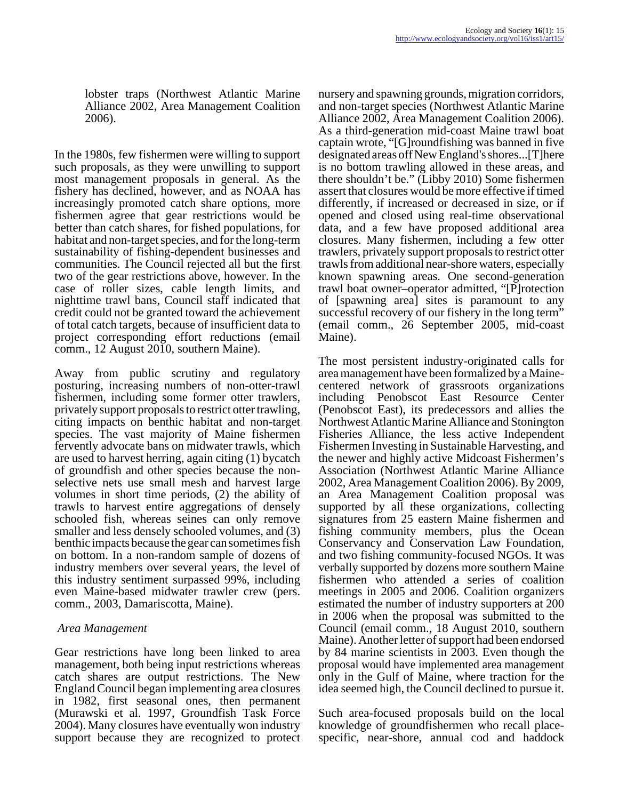lobster traps (Northwest Atlantic Marine Alliance 2002, Area Management Coalition 2006).

In the 1980s, few fishermen were willing to support such proposals, as they were unwilling to support most management proposals in general. As the fishery has declined, however, and as NOAA has increasingly promoted catch share options, more fishermen agree that gear restrictions would be better than catch shares, for fished populations, for habitat and non-target species, and for the long-term sustainability of fishing-dependent businesses and communities. The Council rejected all but the first two of the gear restrictions above, however. In the case of roller sizes, cable length limits, and nighttime trawl bans, Council staff indicated that credit could not be granted toward the achievement of total catch targets, because of insufficient data to project corresponding effort reductions (email comm., 12 August 2010, southern Maine).

Away from public scrutiny and regulatory posturing, increasing numbers of non-otter-trawl fishermen, including some former otter trawlers, privately support proposals to restrict otter trawling, citing impacts on benthic habitat and non-target species. The vast majority of Maine fishermen fervently advocate bans on midwater trawls, which are used to harvest herring, again citing (1) bycatch of groundfish and other species because the nonselective nets use small mesh and harvest large volumes in short time periods, (2) the ability of trawls to harvest entire aggregations of densely schooled fish, whereas seines can only remove smaller and less densely schooled volumes, and (3) benthic impacts because the gear can sometimes fish on bottom. In a non-random sample of dozens of industry members over several years, the level of this industry sentiment surpassed 99%, including even Maine-based midwater trawler crew (pers. comm., 2003, Damariscotta, Maine).

#### *Area Management*

Gear restrictions have long been linked to area management, both being input restrictions whereas catch shares are output restrictions. The New England Council began implementing area closures in 1982, first seasonal ones, then permanent (Murawski et al. 1997, Groundfish Task Force 2004). Many closures have eventually won industry support because they are recognized to protect

nursery and spawning grounds, migration corridors, and non-target species (Northwest Atlantic Marine Alliance 2002, Area Management Coalition 2006). As a third-generation mid-coast Maine trawl boat captain wrote, "[G]roundfishing was banned in five designated areas off New England's shores...[T]here is no bottom trawling allowed in these areas, and there shouldn't be." (Libby 2010) Some fishermen assert that closures would be more effective if timed differently, if increased or decreased in size, or if opened and closed using real-time observational data, and a few have proposed additional area closures. Many fishermen, including a few otter trawlers, privately support proposals to restrict otter trawls from additional near-shore waters, especially known spawning areas. One second-generation trawl boat owner–operator admitted, "[P]rotection of [spawning area] sites is paramount to any successful recovery of our fishery in the long term" (email comm., 26 September 2005, mid-coast Maine).

The most persistent industry-originated calls for area management have been formalized by a Mainecentered network of grassroots organizations including Penobscot East Resource Center (Penobscot East), its predecessors and allies the Northwest Atlantic Marine Alliance and Stonington Fisheries Alliance, the less active Independent Fishermen Investing in Sustainable Harvesting, and the newer and highly active Midcoast Fishermen's Association (Northwest Atlantic Marine Alliance 2002, Area Management Coalition 2006). By 2009, an Area Management Coalition proposal was supported by all these organizations, collecting signatures from 25 eastern Maine fishermen and fishing community members, plus the Ocean Conservancy and Conservation Law Foundation, and two fishing community-focused NGOs. It was verbally supported by dozens more southern Maine fishermen who attended a series of coalition meetings in 2005 and 2006. Coalition organizers estimated the number of industry supporters at 200 in 2006 when the proposal was submitted to the Council (email comm., 18 August 2010, southern Maine). Another letter of support had been endorsed by 84 marine scientists in 2003. Even though the proposal would have implemented area management only in the Gulf of Maine, where traction for the idea seemed high, the Council declined to pursue it.

Such area-focused proposals build on the local knowledge of groundfishermen who recall placespecific, near-shore, annual cod and haddock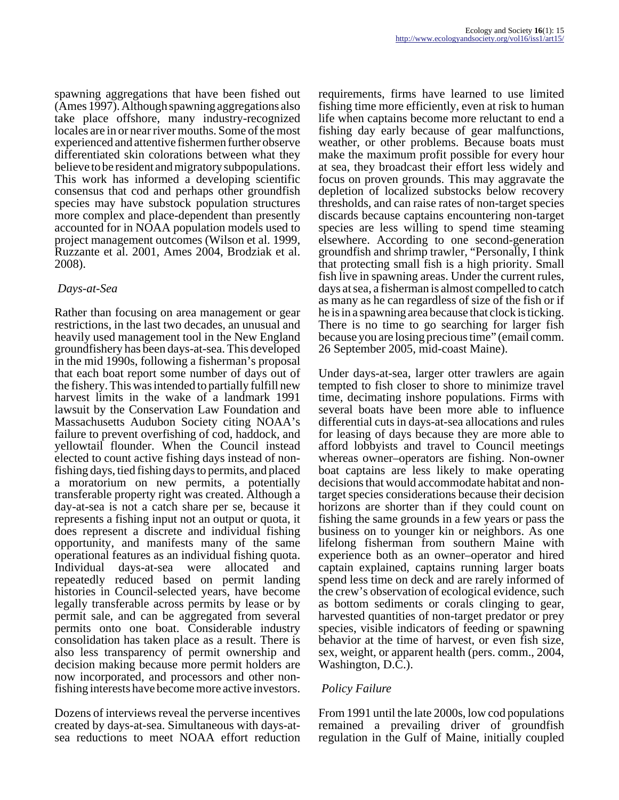spawning aggregations that have been fished out (Ames 1997). Although spawning aggregations also take place offshore, many industry-recognized locales are in or near river mouths. Some of the most experienced and attentive fishermen further observe differentiated skin colorations between what they believe to be resident and migratory subpopulations. This work has informed a developing scientific consensus that cod and perhaps other groundfish species may have substock population structures more complex and place-dependent than presently accounted for in NOAA population models used to project management outcomes (Wilson et al. 1999, Ruzzante et al. 2001, Ames 2004, Brodziak et al. 2008).

### *Days-at-Sea*

Rather than focusing on area management or gear restrictions, in the last two decades, an unusual and heavily used management tool in the New England groundfishery has been days-at-sea. This developed in the mid 1990s, following a fisherman's proposal that each boat report some number of days out of the fishery. This was intended to partially fulfill new harvest limits in the wake of a landmark 1991 lawsuit by the Conservation Law Foundation and Massachusetts Audubon Society citing NOAA's failure to prevent overfishing of cod, haddock, and yellowtail flounder. When the Council instead elected to count active fishing days instead of nonfishing days, tied fishing days to permits, and placed a moratorium on new permits, a potentially transferable property right was created. Although a day-at-sea is not a catch share per se, because it represents a fishing input not an output or quota, it does represent a discrete and individual fishing opportunity, and manifests many of the same operational features as an individual fishing quota. Individual days-at-sea were allocated and repeatedly reduced based on permit landing histories in Council-selected years, have become legally transferable across permits by lease or by permit sale, and can be aggregated from several permits onto one boat. Considerable industry consolidation has taken place as a result. There is also less transparency of permit ownership and decision making because more permit holders are now incorporated, and processors and other nonfishing interests have become more active investors.

Dozens of interviews reveal the perverse incentives created by days-at-sea. Simultaneous with days-atsea reductions to meet NOAA effort reduction

requirements, firms have learned to use limited fishing time more efficiently, even at risk to human life when captains become more reluctant to end a fishing day early because of gear malfunctions, weather, or other problems. Because boats must make the maximum profit possible for every hour at sea, they broadcast their effort less widely and focus on proven grounds. This may aggravate the depletion of localized substocks below recovery thresholds, and can raise rates of non-target species discards because captains encountering non-target species are less willing to spend time steaming elsewhere. According to one second-generation groundfish and shrimp trawler, "Personally, I think that protecting small fish is a high priority. Small fish live in spawning areas. Under the current rules, days at sea, a fisherman is almost compelled to catch as many as he can regardless of size of the fish or if he is in a spawning area because that clock is ticking. There is no time to go searching for larger fish because you are losing precious time" (email comm. 26 September 2005, mid-coast Maine).

Under days-at-sea, larger otter trawlers are again tempted to fish closer to shore to minimize travel time, decimating inshore populations. Firms with several boats have been more able to influence differential cuts in days-at-sea allocations and rules for leasing of days because they are more able to afford lobbyists and travel to Council meetings whereas owner–operators are fishing. Non-owner boat captains are less likely to make operating decisions that would accommodate habitat and nontarget species considerations because their decision horizons are shorter than if they could count on fishing the same grounds in a few years or pass the business on to younger kin or neighbors. As one lifelong fisherman from southern Maine with experience both as an owner–operator and hired captain explained, captains running larger boats spend less time on deck and are rarely informed of the crew's observation of ecological evidence, such as bottom sediments or corals clinging to gear, harvested quantities of non-target predator or prey species, visible indicators of feeding or spawning behavior at the time of harvest, or even fish size, sex, weight, or apparent health (pers. comm., 2004, Washington, D.C.).

### *Policy Failure*

From 1991 until the late 2000s, low cod populations remained a prevailing driver of groundfish regulation in the Gulf of Maine, initially coupled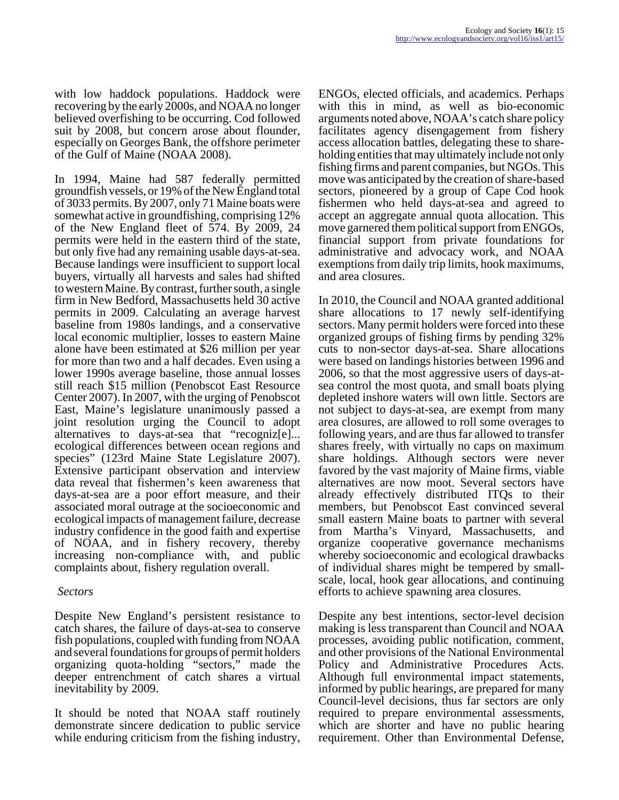with low haddock populations. Haddock were recovering by the early 2000s, and NOAA no longer believed overfishing to be occurring. Cod followed suit by 2008, but concern arose about flounder, especially on Georges Bank, the offshore perimeter of the Gulf of Maine (NOAA 2008).

In 1994, Maine had 587 federally permitted groundfish vessels, or 19% of the New England total of 3033 permits. By 2007, only 71 Maine boats were somewhat active in groundfishing, comprising 12% of the New England fleet of 574. By 2009, 24 permits were held in the eastern third of the state, but only five had any remaining usable days-at-sea. Because landings were insufficient to support local buyers, virtually all harvests and sales had shifted to western Maine. By contrast, further south, a single firm in New Bedford, Massachusetts held 30 active permits in 2009. Calculating an average harvest baseline from 1980s landings, and a conservative local economic multiplier, losses to eastern Maine alone have been estimated at \$26 million per year for more than two and a half decades. Even using a lower 1990s average baseline, those annual losses still reach \$15 million (Penobscot East Resource Center 2007). In 2007, with the urging of Penobscot East, Maine's legislature unanimously passed a joint resolution urging the Council to adopt alternatives to days-at-sea that "recogniz[e]... ecological differences between ocean regions and species" (123rd Maine State Legislature 2007). Extensive participant observation and interview data reveal that fishermen's keen awareness that days-at-sea are a poor effort measure, and their associated moral outrage at the socioeconomic and ecological impacts of management failure, decrease industry confidence in the good faith and expertise of NOAA, and in fishery recovery, thereby increasing non-compliance with, and public complaints about, fishery regulation overall.

#### *Sectors*

Despite New England's persistent resistance to catch shares, the failure of days-at-sea to conserve fish populations, coupled with funding from NOAA and several foundations for groups of permit holders organizing quota-holding "sectors," made the deeper entrenchment of catch shares a virtual inevitability by 2009.

It should be noted that NOAA staff routinely demonstrate sincere dedication to public service while enduring criticism from the fishing industry,

ENGOs, elected officials, and academics. Perhaps with this in mind, as well as bio-economic arguments noted above, NOAA's catch share policy facilitates agency disengagement from fishery access allocation battles, delegating these to shareholding entities that may ultimately include not only fishing firms and parent companies, but NGOs. This move was anticipated by the creation of share-based sectors, pioneered by a group of Cape Cod hook fishermen who held days-at-sea and agreed to accept an aggregate annual quota allocation. This move garnered them political support from ENGOs, financial support from private foundations for administrative and advocacy work, and NOAA exemptions from daily trip limits, hook maximums, and area closures.

In 2010, the Council and NOAA granted additional share allocations to 17 newly self-identifying sectors. Many permit holders were forced into these organized groups of fishing firms by pending 32% cuts to non-sector days-at-sea. Share allocations were based on landings histories between 1996 and 2006, so that the most aggressive users of days-atsea control the most quota, and small boats plying depleted inshore waters will own little. Sectors are not subject to days-at-sea, are exempt from many area closures, are allowed to roll some overages to following years, and are thus far allowed to transfer shares freely, with virtually no caps on maximum share holdings. Although sectors were never favored by the vast majority of Maine firms, viable alternatives are now moot. Several sectors have already effectively distributed ITQs to their members, but Penobscot East convinced several small eastern Maine boats to partner with several from Martha's Vinyard, Massachusetts, and organize cooperative governance mechanisms whereby socioeconomic and ecological drawbacks of individual shares might be tempered by smallscale, local, hook gear allocations, and continuing efforts to achieve spawning area closures.

Despite any best intentions, sector-level decision making is less transparent than Council and NOAA processes, avoiding public notification, comment, and other provisions of the National Environmental Policy and Administrative Procedures Acts. Although full environmental impact statements, informed by public hearings, are prepared for many Council-level decisions, thus far sectors are only required to prepare environmental assessments, which are shorter and have no public hearing requirement. Other than Environmental Defense,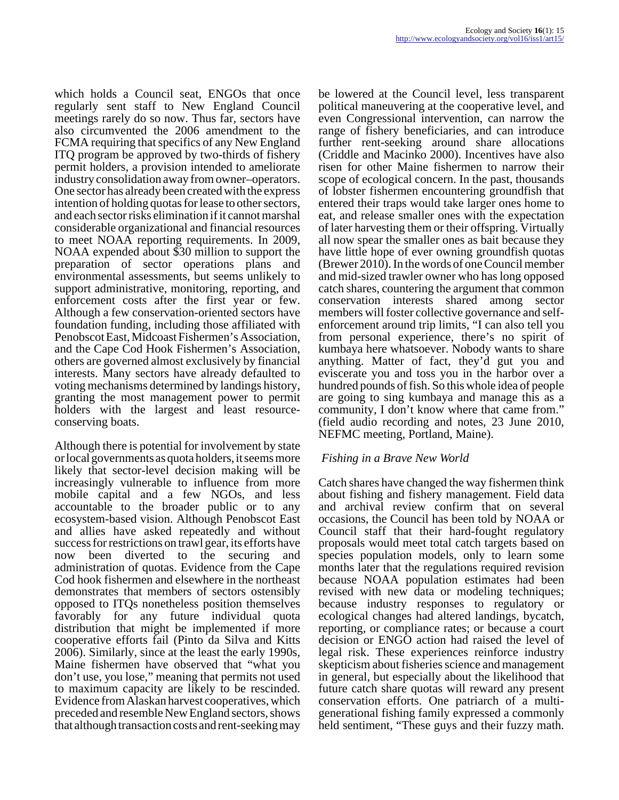which holds a Council seat, ENGOs that once regularly sent staff to New England Council meetings rarely do so now. Thus far, sectors have also circumvented the 2006 amendment to the FCMA requiring that specifics of any New England ITQ program be approved by two-thirds of fishery permit holders, a provision intended to ameliorate industry consolidation away from owner–operators. One sector has already been created with the express intention of holding quotas for lease to other sectors, and each sector risks elimination if it cannot marshal considerable organizational and financial resources to meet NOAA reporting requirements. In 2009, NOAA expended about \$30 million to support the preparation of sector operations plans and environmental assessments, but seems unlikely to support administrative, monitoring, reporting, and enforcement costs after the first year or few. Although a few conservation-oriented sectors have foundation funding, including those affiliated with Penobscot East, Midcoast Fishermen's Association, and the Cape Cod Hook Fishermen's Association, others are governed almost exclusively by financial interests. Many sectors have already defaulted to voting mechanisms determined by landings history, granting the most management power to permit holders with the largest and least resourceconserving boats.

Although there is potential for involvement by state or local governments as quota holders, it seems more likely that sector-level decision making will be increasingly vulnerable to influence from more mobile capital and a few NGOs, and less accountable to the broader public or to any ecosystem-based vision. Although Penobscot East and allies have asked repeatedly and without success for restrictions on trawl gear, its efforts have now been diverted to the securing and administration of quotas. Evidence from the Cape Cod hook fishermen and elsewhere in the northeast demonstrates that members of sectors ostensibly opposed to ITQs nonetheless position themselves favorably for any future individual quota distribution that might be implemented if more cooperative efforts fail (Pinto da Silva and Kitts 2006). Similarly, since at the least the early 1990s, Maine fishermen have observed that "what you don't use, you lose," meaning that permits not used to maximum capacity are likely to be rescinded. Evidence from Alaskan harvest cooperatives, which preceded and resemble New England sectors, shows that although transaction costs and rent-seeking may

be lowered at the Council level, less transparent political maneuvering at the cooperative level, and even Congressional intervention, can narrow the range of fishery beneficiaries, and can introduce further rent-seeking around share allocations (Criddle and Macinko 2000). Incentives have also risen for other Maine fishermen to narrow their scope of ecological concern. In the past, thousands of lobster fishermen encountering groundfish that entered their traps would take larger ones home to eat, and release smaller ones with the expectation of later harvesting them or their offspring. Virtually all now spear the smaller ones as bait because they have little hope of ever owning groundfish quotas (Brewer 2010). In the words of one Council member and mid-sized trawler owner who has long opposed catch shares, countering the argument that common conservation interests shared among sector members will foster collective governance and selfenforcement around trip limits, "I can also tell you from personal experience, there's no spirit of kumbaya here whatsoever. Nobody wants to share anything. Matter of fact, they'd gut you and eviscerate you and toss you in the harbor over a hundred pounds of fish. So this whole idea of people are going to sing kumbaya and manage this as a community, I don't know where that came from." (field audio recording and notes, 23 June 2010, NEFMC meeting, Portland, Maine).

### *Fishing in a Brave New World*

Catch shares have changed the way fishermen think about fishing and fishery management. Field data and archival review confirm that on several occasions, the Council has been told by NOAA or Council staff that their hard-fought regulatory proposals would meet total catch targets based on species population models, only to learn some months later that the regulations required revision because NOAA population estimates had been revised with new data or modeling techniques; because industry responses to regulatory or ecological changes had altered landings, bycatch, reporting, or compliance rates; or because a court decision or ENGO action had raised the level of legal risk. These experiences reinforce industry skepticism about fisheries science and management in general, but especially about the likelihood that future catch share quotas will reward any present conservation efforts. One patriarch of a multigenerational fishing family expressed a commonly held sentiment, "These guys and their fuzzy math.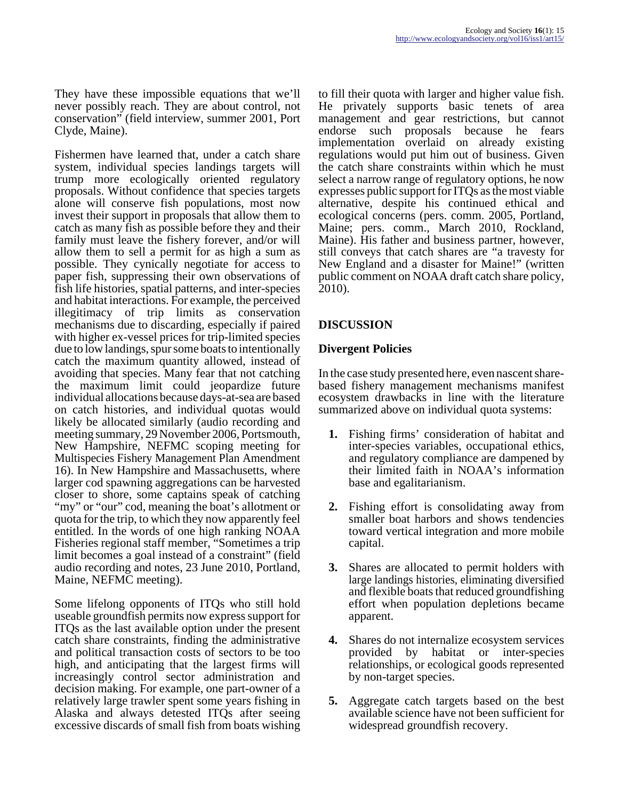They have these impossible equations that we'll never possibly reach. They are about control, not conservation" (field interview, summer 2001, Port Clyde, Maine).

Fishermen have learned that, under a catch share system, individual species landings targets will trump more ecologically oriented regulatory proposals. Without confidence that species targets alone will conserve fish populations, most now invest their support in proposals that allow them to catch as many fish as possible before they and their family must leave the fishery forever, and/or will allow them to sell a permit for as high a sum as possible. They cynically negotiate for access to paper fish, suppressing their own observations of fish life histories, spatial patterns, and inter-species and habitat interactions. For example, the perceived illegitimacy of trip limits as conservation mechanisms due to discarding, especially if paired with higher ex-vessel prices for trip-limited species due to low landings, spur some boats to intentionally catch the maximum quantity allowed, instead of avoiding that species. Many fear that not catching the maximum limit could jeopardize future individual allocations because days-at-sea are based on catch histories, and individual quotas would likely be allocated similarly (audio recording and meeting summary, 29 November 2006, Portsmouth, New Hampshire, NEFMC scoping meeting for Multispecies Fishery Management Plan Amendment 16). In New Hampshire and Massachusetts, where larger cod spawning aggregations can be harvested closer to shore, some captains speak of catching "my" or "our" cod, meaning the boat's allotment or quota for the trip, to which they now apparently feel entitled. In the words of one high ranking NOAA Fisheries regional staff member, "Sometimes a trip limit becomes a goal instead of a constraint" (field audio recording and notes, 23 June 2010, Portland, Maine, NEFMC meeting).

Some lifelong opponents of ITQs who still hold useable groundfish permits now express support for ITQs as the last available option under the present catch share constraints, finding the administrative and political transaction costs of sectors to be too high, and anticipating that the largest firms will increasingly control sector administration and decision making. For example, one part-owner of a relatively large trawler spent some years fishing in Alaska and always detested ITQs after seeing excessive discards of small fish from boats wishing to fill their quota with larger and higher value fish. He privately supports basic tenets of area management and gear restrictions, but cannot endorse such proposals because he fears implementation overlaid on already existing regulations would put him out of business. Given the catch share constraints within which he must select a narrow range of regulatory options, he now expresses public support for ITQs as the most viable alternative, despite his continued ethical and ecological concerns (pers. comm. 2005, Portland, Maine; pers. comm., March 2010, Rockland, Maine). His father and business partner, however, still conveys that catch shares are "a travesty for New England and a disaster for Maine!" (written public comment on NOAA draft catch share policy, 2010).

## **DISCUSSION**

### **Divergent Policies**

In the case study presented here, even nascent sharebased fishery management mechanisms manifest ecosystem drawbacks in line with the literature summarized above on individual quota systems:

- **1.** Fishing firms' consideration of habitat and inter-species variables, occupational ethics, and regulatory compliance are dampened by their limited faith in NOAA's information base and egalitarianism.
- **2.** Fishing effort is consolidating away from smaller boat harbors and shows tendencies toward vertical integration and more mobile capital.
- **3.** Shares are allocated to permit holders with large landings histories, eliminating diversified and flexible boats that reduced groundfishing effort when population depletions became apparent.
- **4.** Shares do not internalize ecosystem services provided by habitat or inter-species relationships, or ecological goods represented by non-target species.
- **5.** Aggregate catch targets based on the best available science have not been sufficient for widespread groundfish recovery.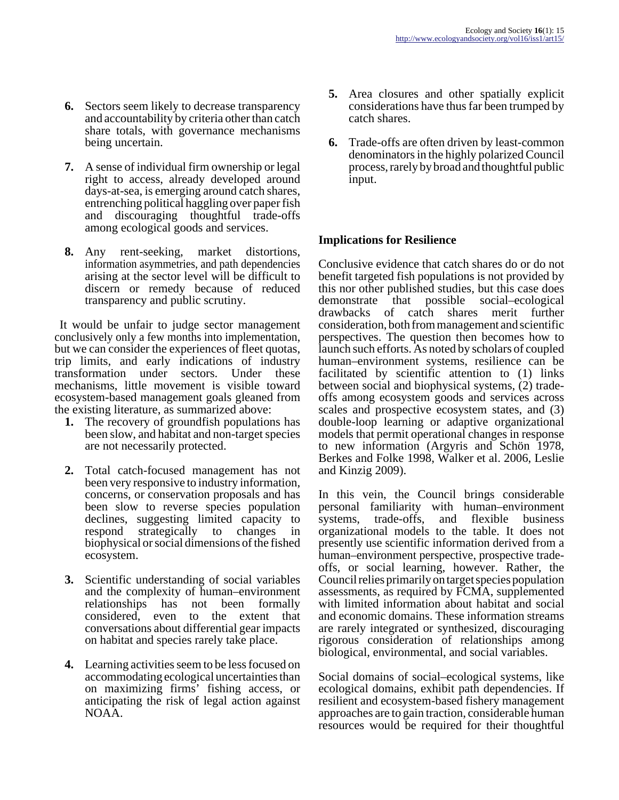- **6.** Sectors seem likely to decrease transparency and accountability by criteria other than catch share totals, with governance mechanisms being uncertain.
- **7.** A sense of individual firm ownership or legal right to access, already developed around days-at-sea, is emerging around catch shares, entrenching political haggling over paper fish and discouraging thoughtful trade-offs among ecological goods and services.
- **8.** Any rent-seeking, market distortions, information asymmetries, and path dependencies arising at the sector level will be difficult to discern or remedy because of reduced transparency and public scrutiny.

 It would be unfair to judge sector management conclusively only a few months into implementation, but we can consider the experiences of fleet quotas, trip limits, and early indications of industry transformation under sectors. Under these mechanisms, little movement is visible toward ecosystem-based management goals gleaned from the existing literature, as summarized above:

- **1.** The recovery of groundfish populations has been slow, and habitat and non-target species are not necessarily protected.
- **2.** Total catch-focused management has not been very responsive to industry information, concerns, or conservation proposals and has been slow to reverse species population declines, suggesting limited capacity to respond strategically to changes in biophysical or social dimensions of the fished ecosystem.
- **3.** Scientific understanding of social variables and the complexity of human–environment relationships has not been formally considered, even to the extent that conversations about differential gear impacts on habitat and species rarely take place.
- **4.** Learning activities seem to be less focused on accommodating ecological uncertainties than on maximizing firms' fishing access, or anticipating the risk of legal action against NOAA.
- **5.** Area closures and other spatially explicit considerations have thus far been trumped by catch shares.
- **6.** Trade-offs are often driven by least-common denominators in the highly polarized Council process, rarely by broad and thoughtful public input.

## **Implications for Resilience**

Conclusive evidence that catch shares do or do not benefit targeted fish populations is not provided by this nor other published studies, but this case does demonstrate that possible social–ecological drawbacks of catch shares merit further consideration, both from management and scientific perspectives. The question then becomes how to launch such efforts. As noted by scholars of coupled human–environment systems, resilience can be facilitated by scientific attention to (1) links between social and biophysical systems, (2) tradeoffs among ecosystem goods and services across scales and prospective ecosystem states, and (3) double-loop learning or adaptive organizational models that permit operational changes in response to new information (Argyris and Schön 1978, Berkes and Folke 1998, Walker et al. 2006, Leslie and Kinzig 2009).

In this vein, the Council brings considerable personal familiarity with human–environment systems, trade-offs, and flexible business organizational models to the table. It does not presently use scientific information derived from a human–environment perspective, prospective tradeoffs, or social learning, however. Rather, the Council relies primarily on target species population assessments, as required by FCMA, supplemented with limited information about habitat and social and economic domains. These information streams are rarely integrated or synthesized, discouraging rigorous consideration of relationships among biological, environmental, and social variables.

Social domains of social–ecological systems, like ecological domains, exhibit path dependencies. If resilient and ecosystem-based fishery management approaches are to gain traction, considerable human resources would be required for their thoughtful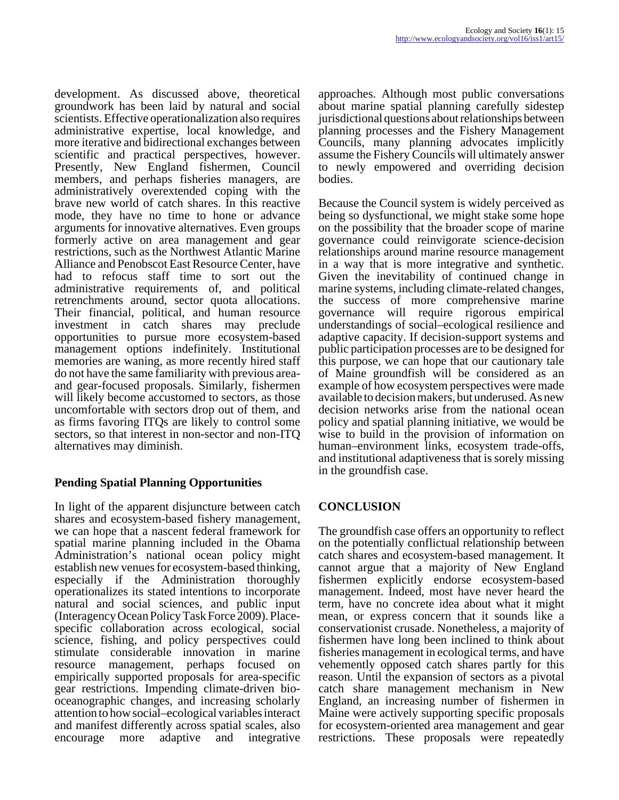development. As discussed above, theoretical groundwork has been laid by natural and social scientists. Effective operationalization also requires administrative expertise, local knowledge, and more iterative and bidirectional exchanges between scientific and practical perspectives, however. Presently, New England fishermen, Council members, and perhaps fisheries managers, are administratively overextended coping with the brave new world of catch shares. In this reactive mode, they have no time to hone or advance arguments for innovative alternatives. Even groups formerly active on area management and gear restrictions, such as the Northwest Atlantic Marine Alliance and Penobscot East Resource Center, have had to refocus staff time to sort out the administrative requirements of, and political retrenchments around, sector quota allocations. Their financial, political, and human resource investment in catch shares may preclude opportunities to pursue more ecosystem-based management options indefinitely. Institutional memories are waning, as more recently hired staff do not have the same familiarity with previous areaand gear-focused proposals. Similarly, fishermen will likely become accustomed to sectors, as those uncomfortable with sectors drop out of them, and as firms favoring ITQs are likely to control some sectors, so that interest in non-sector and non-ITQ alternatives may diminish.

## **Pending Spatial Planning Opportunities**

In light of the apparent disjuncture between catch shares and ecosystem-based fishery management, we can hope that a nascent federal framework for spatial marine planning included in the Obama Administration's national ocean policy might establish new venues for ecosystem-based thinking, especially if the Administration thoroughly operationalizes its stated intentions to incorporate natural and social sciences, and public input (Interagency Ocean Policy Task Force 2009). Placespecific collaboration across ecological, social science, fishing, and policy perspectives could stimulate considerable innovation in marine resource management, perhaps focused on empirically supported proposals for area-specific gear restrictions. Impending climate-driven biooceanographic changes, and increasing scholarly attention to how social–ecological variables interact and manifest differently across spatial scales, also encourage more adaptive and integrative

approaches. Although most public conversations about marine spatial planning carefully sidestep jurisdictional questions about relationships between planning processes and the Fishery Management Councils, many planning advocates implicitly assume the Fishery Councils will ultimately answer to newly empowered and overriding decision bodies.

Because the Council system is widely perceived as being so dysfunctional, we might stake some hope on the possibility that the broader scope of marine governance could reinvigorate science-decision relationships around marine resource management in a way that is more integrative and synthetic. Given the inevitability of continued change in marine systems, including climate-related changes, the success of more comprehensive marine governance will require rigorous empirical understandings of social–ecological resilience and adaptive capacity. If decision-support systems and public participation processes are to be designed for this purpose, we can hope that our cautionary tale of Maine groundfish will be considered as an example of how ecosystem perspectives were made available to decision makers, but underused. As new decision networks arise from the national ocean policy and spatial planning initiative, we would be wise to build in the provision of information on human–environment links, ecosystem trade-offs, and institutional adaptiveness that is sorely missing in the groundfish case.

## **CONCLUSION**

The groundfish case offers an opportunity to reflect on the potentially conflictual relationship between catch shares and ecosystem-based management. It cannot argue that a majority of New England fishermen explicitly endorse ecosystem-based management. Indeed, most have never heard the term, have no concrete idea about what it might mean, or express concern that it sounds like a conservationist crusade. Nonetheless, a majority of fishermen have long been inclined to think about fisheries management in ecological terms, and have vehemently opposed catch shares partly for this reason. Until the expansion of sectors as a pivotal catch share management mechanism in New England, an increasing number of fishermen in Maine were actively supporting specific proposals for ecosystem-oriented area management and gear restrictions. These proposals were repeatedly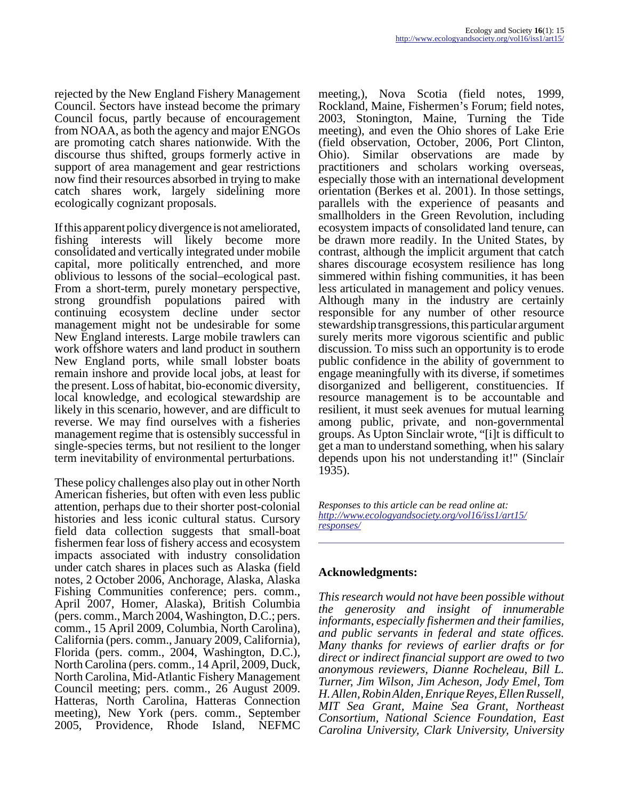rejected by the New England Fishery Management Council. Sectors have instead become the primary Council focus, partly because of encouragement from NOAA, as both the agency and major ENGOs are promoting catch shares nationwide. With the discourse thus shifted, groups formerly active in support of area management and gear restrictions now find their resources absorbed in trying to make catch shares work, largely sidelining more ecologically cognizant proposals.

If this apparent policy divergence is not ameliorated, fishing interests will likely become more consolidated and vertically integrated under mobile capital, more politically entrenched, and more oblivious to lessons of the social–ecological past. From a short-term, purely monetary perspective, strong groundfish populations paired with continuing ecosystem decline under sector management might not be undesirable for some New England interests. Large mobile trawlers can work offshore waters and land product in southern New England ports, while small lobster boats remain inshore and provide local jobs, at least for the present. Loss of habitat, bio-economic diversity, local knowledge, and ecological stewardship are likely in this scenario, however, and are difficult to reverse. We may find ourselves with a fisheries management regime that is ostensibly successful in single-species terms, but not resilient to the longer term inevitability of environmental perturbations.

These policy challenges also play out in other North American fisheries, but often with even less public attention, perhaps due to their shorter post-colonial histories and less iconic cultural status. Cursory field data collection suggests that small-boat fishermen fear loss of fishery access and ecosystem impacts associated with industry consolidation under catch shares in places such as Alaska (field notes, 2 October 2006, Anchorage, Alaska, Alaska Fishing Communities conference; pers. comm., April 2007, Homer, Alaska), British Columbia (pers. comm., March 2004, Washington, D.C.; pers. comm., 15 April 2009, Columbia, North Carolina), California (pers. comm., January 2009, California), Florida (pers. comm., 2004, Washington, D.C.), North Carolina (pers. comm., 14 April, 2009, Duck, North Carolina, Mid-Atlantic Fishery Management Council meeting; pers. comm., 26 August 2009. Hatteras, North Carolina, Hatteras Connection meeting), New York (pers. comm., September 2005, Providence, Rhode Island, NEFMC

meeting,), Nova Scotia (field notes, 1999, Rockland, Maine, Fishermen's Forum; field notes, 2003, Stonington, Maine, Turning the Tide meeting), and even the Ohio shores of Lake Erie (field observation, October, 2006, Port Clinton, Ohio). Similar observations are made by practitioners and scholars working overseas, especially those with an international development orientation (Berkes et al. 2001). In those settings, parallels with the experience of peasants and smallholders in the Green Revolution, including ecosystem impacts of consolidated land tenure, can be drawn more readily. In the United States, by contrast, although the implicit argument that catch shares discourage ecosystem resilience has long simmered within fishing communities, it has been less articulated in management and policy venues. Although many in the industry are certainly responsible for any number of other resource stewardship transgressions, this particular argument surely merits more vigorous scientific and public discussion. To miss such an opportunity is to erode public confidence in the ability of government to engage meaningfully with its diverse, if sometimes disorganized and belligerent, constituencies. If resource management is to be accountable and resilient, it must seek avenues for mutual learning among public, private, and non-governmental groups. As Upton Sinclair wrote, "[i]t is difficult to get a man to understand something, when his salary depends upon his not understanding it!" (Sinclair 1935).

*Responses to this article can be read online at: [http://www](http://www.ecologyandsociety.org/vol16/iss1/art15/responses/).ecologyandsociety.org/vol16/iss1/art15/ responses/*

### **Acknowledgments:**

*This research would not have been possible without the generosity and insight of innumerable informants, especially fishermen and their families, and public servants in federal and state offices. Many thanks for reviews of earlier drafts or for direct or indirect financial support are owed to two anonymous reviewers, Dianne Rocheleau, Bill L. Turner, Jim Wilson, Jim Acheson, Jody Emel, Tom H. Allen, Robin Alden, Enrique Reyes, Ellen Russell, MIT Sea Grant, Maine Sea Grant, Northeast Consortium, National Science Foundation, East Carolina University, Clark University, University*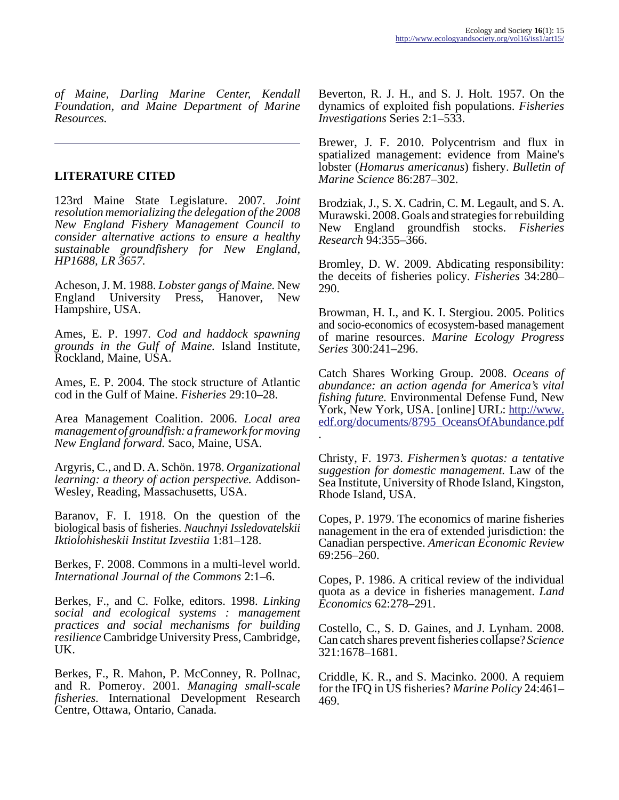*of Maine, Darling Marine Center, Kendall Foundation, and Maine Department of Marine Resources.* 

## **LITERATURE CITED**

123rd Maine State Legislature. 2007. *Joint resolution memorializing the delegation of the 2008 New England Fishery Management Council to consider alternative actions to ensure a healthy sustainable groundfishery for New England, HP1688, LR 3657.*

Acheson, J. M. 1988. *Lobster gangs of Maine.* New England University Press, Hanover, New Hampshire, USA.

Ames, E. P. 1997. *Cod and haddock spawning grounds in the Gulf of Maine.* Island Institute, Rockland, Maine, USA.

Ames, E. P. 2004. The stock structure of Atlantic cod in the Gulf of Maine. *Fisheries* 29:10–28.

Area Management Coalition. 2006. *Local area management of groundfish: a framework for moving New England forward.* Saco, Maine, USA.

Argyris, C., and D. A. Schön. 1978. *Organizational learning: a theory of action perspective.* Addison-Wesley, Reading, Massachusetts, USA.

Baranov, F. I. 1918. On the question of the biological basis of fisheries. *Nauchnyi Issledovatelskii Iktiolohisheskii Institut Izvestiia* 1:81–128.

Berkes, F. 2008. Commons in a multi-level world. *International Journal of the Commons* 2:1–6.

Berkes, F., and C. Folke, editors. 1998. *Linking social and ecological systems : management practices and social mechanisms for building resilience* Cambridge University Press, Cambridge, UK.

Berkes, F., R. Mahon, P. McConney, R. Pollnac, and R. Pomeroy. 2001. *Managing small-scale fisheries.* International Development Research Centre, Ottawa, Ontario, Canada.

Beverton, R. J. H., and S. J. Holt. 1957. On the dynamics of exploited fish populations. *Fisheries Investigations* Series 2:1–533.

Brewer, J. F. 2010. Polycentrism and flux in spatialized management: evidence from Maine's lobster (*Homarus americanus*) fishery. *Bulletin of Marine Science* 86:287–302.

Brodziak, J., S. X. Cadrin, C. M. Legault, and S. A. Murawski. 2008. Goals and strategies for rebuilding New England groundfish stocks. *Fisheries Research* 94:355–366.

Bromley, D. W. 2009. Abdicating responsibility: the deceits of fisheries policy. *Fisheries* 34:280– 290.

Browman, H. I., and K. I. Stergiou. 2005. Politics and socio-economics of ecosystem-based management of marine resources. *Marine Ecology Progress Series* 300:241–296.

Catch Shares Working Group. 2008. *Oceans of abundance: an action agenda for America's vital fishing future.* Environmental Defense Fund, New York, New York, USA. [online] URL: [http://www.](http://www.edf.org/documents/8795_OceansOfAbundance.pdf) [edf.org/documents/8795\\_OceansOfAbundance.pdf](http://www.edf.org/documents/8795_OceansOfAbundance.pdf) .

Christy, F. 1973. *Fishermen's quotas: a tentative suggestion for domestic management.* Law of the Sea Institute, University of Rhode Island, Kingston, Rhode Island, USA.

Copes, P. 1979. The economics of marine fisheries nanagement in the era of extended jurisdiction: the Canadian perspective. *American Economic Review* 69:256–260.

Copes, P. 1986. A critical review of the individual quota as a device in fisheries management. *Land Economics* 62:278–291.

Costello, C., S. D. Gaines, and J. Lynham. 2008. Can catch shares prevent fisheries collapse? *Science* 321:1678–1681.

Criddle, K. R., and S. Macinko. 2000. A requiem for the IFQ in US fisheries? *Marine Policy* 24:461– 469.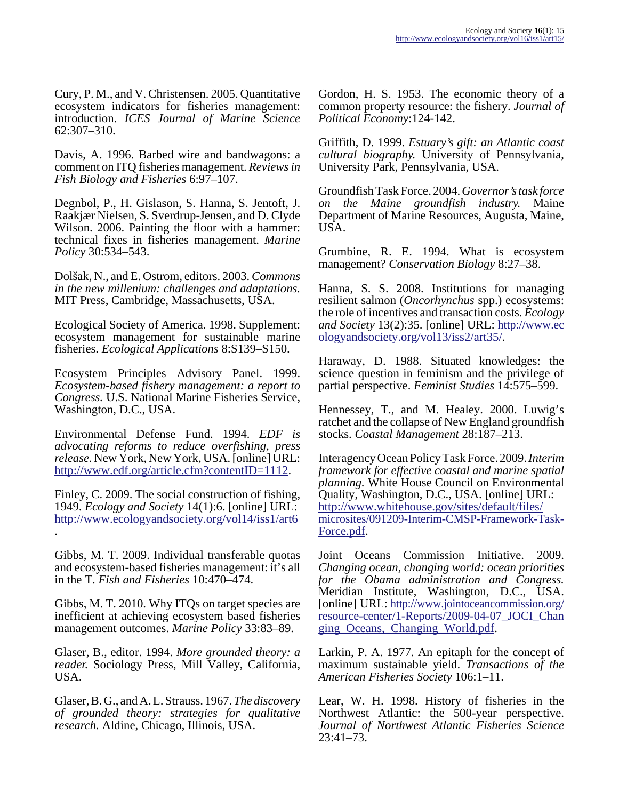Cury, P. M., and V. Christensen. 2005. Quantitative ecosystem indicators for fisheries management: introduction. *ICES Journal of Marine Science* 62:307–310.

Davis, A. 1996. Barbed wire and bandwagons: a comment on ITQ fisheries management. *Reviews in Fish Biology and Fisheries* 6:97–107.

Degnbol, P., H. Gislason, S. Hanna, S. Jentoft, J. Raakjær Nielsen, S. Sverdrup-Jensen, and D. Clyde Wilson. 2006. Painting the floor with a hammer: technical fixes in fisheries management. *Marine Policy* 30:534–543.

Dolšak, N., and E. Ostrom, editors. 2003. *Commons in the new millenium: challenges and adaptations.* MIT Press, Cambridge, Massachusetts, USA.

Ecological Society of America. 1998. Supplement: ecosystem management for sustainable marine fisheries. *Ecological Applications* 8:S139–S150.

Ecosystem Principles Advisory Panel. 1999. *Ecosystem-based fishery management: a report to Congress.* U.S. National Marine Fisheries Service, Washington, D.C., USA.

Environmental Defense Fund. 1994. *EDF is advocating reforms to reduce overfishing, press release.* New York, New York, USA. [online] URL: <http://www.edf.org/article.cfm?contentID=1112>.

Finley, C. 2009. The social construction of fishing, 1949. *Ecology and Society* 14(1):6. [online] URL: <http://www.ecologyandsociety.org/vol14/iss1/art6> .

Gibbs, M. T. 2009. Individual transferable quotas and ecosystem-based fisheries management: it's all in the T. *Fish and Fisheries* 10:470–474.

Gibbs, M. T. 2010. Why ITQs on target species are inefficient at achieving ecosystem based fisheries management outcomes. *Marine Policy* 33:83–89.

Glaser, B., editor. 1994. *More grounded theory: a reader.* Sociology Press, Mill Valley, California, USA.

Glaser, B. G., and A. L. Strauss. 1967. *The discovery of grounded theory: strategies for qualitative research.* Aldine, Chicago, Illinois, USA.

Gordon, H. S. 1953. The economic theory of a common property resource: the fishery. *Journal of Political Economy*:124-142.

Griffith, D. 1999. *Estuary's gift: an Atlantic coast cultural biography.* University of Pennsylvania, University Park, Pennsylvania, USA.

Groundfish Task Force. 2004. *Governor's task force on the Maine groundfish industry.* Maine Department of Marine Resources, Augusta, Maine, USA.

Grumbine, R. E. 1994. What is ecosystem management? *Conservation Biology* 8:27–38.

Hanna, S. S. 2008. Institutions for managing resilient salmon (*Oncorhynchus* spp.) ecosystems: the role of incentives and transaction costs. *Ecology and Society* 13(2):35. [online] URL: [http://www.ec](http://www.ecologyandsociety.org/vol13/iss2/art35/) [ologyandsociety.org/vol13/iss2/art35/.](http://www.ecologyandsociety.org/vol13/iss2/art35/)

Haraway, D. 1988. Situated knowledges: the science question in feminism and the privilege of partial perspective. *Feminist Studies* 14:575–599.

Hennessey, T., and M. Healey. 2000. Luwig's ratchet and the collapse of New England groundfish stocks. *Coastal Management* 28:187–213.

Interagency Ocean Policy Task Force. 2009. *Interim framework for effective coastal and marine spatial planning.* White House Council on Environmental Quality, Washington, D.C., USA. [online] URL: [http://www.whitehouse.gov/sites/default/files/](http://www.whitehouse.gov/sites/default/files/microsites/091209-Interim-CMSP-Framework-Task-Force.pdf) [microsites/091209-Interim-CMSP-Framework-Task-](http://www.whitehouse.gov/sites/default/files/microsites/091209-Interim-CMSP-Framework-Task-Force.pdf)[Force.pdf](http://www.whitehouse.gov/sites/default/files/microsites/091209-Interim-CMSP-Framework-Task-Force.pdf).

Joint Oceans Commission Initiative. 2009. *Changing ocean, changing world: ocean priorities for the Obama administration and Congress.* Meridian Institute, Washington, D.C., USA. [online] URL: [http://www.jointoceancommission.org/](http://www.jointoceancommission.org/resource-center/1-Reports/2009-04-07_JOCI_Changing_Oceans,_Changing_World.pdf) [resource-center/1-Reports/2009-04-07\\_JOCI\\_Chan](http://www.jointoceancommission.org/resource-center/1-Reports/2009-04-07_JOCI_Changing_Oceans,_Changing_World.pdf) [ging\\_Oceans,\\_Changing\\_World.pdf.](http://www.jointoceancommission.org/resource-center/1-Reports/2009-04-07_JOCI_Changing_Oceans,_Changing_World.pdf)

Larkin, P. A. 1977. An epitaph for the concept of maximum sustainable yield. *Transactions of the American Fisheries Society* 106:1–11.

Lear, W. H. 1998. History of fisheries in the Northwest Atlantic: the 500-year perspective. *Journal of Northwest Atlantic Fisheries Science* 23:41–73.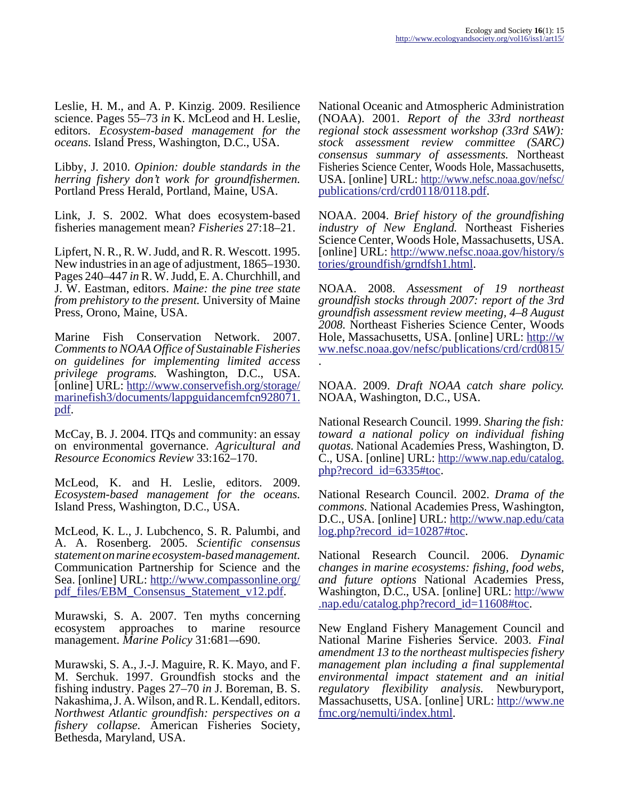Leslie, H. M., and A. P. Kinzig. 2009. Resilience science. Pages 55–73 *in* K. McLeod and H. Leslie, editors. *Ecosystem-based management for the oceans.* Island Press, Washington, D.C., USA.

Libby, J. 2010. *Opinion: double standards in the herring fishery don't work for groundfishermen.* Portland Press Herald, Portland, Maine, USA.

Link, J. S. 2002. What does ecosystem-based fisheries management mean? *Fisheries* 27:18–21.

Lipfert, N. R., R. W. Judd, and R. R. Wescott. 1995. New industries in an age of adjustment, 1865–1930. Pages 240–447 *in* R. W. Judd, E. A. Churchhill, and J. W. Eastman, editors. *Maine: the pine tree state from prehistory to the present.* University of Maine Press, Orono, Maine, USA.

Marine Fish Conservation Network. 2007. *Comments to NOAA Office of Sustainable Fisheries on guidelines for implementing limited access privilege programs.* Washington, D.C., USA. [online] URL: [http://www.conservefish.org/storage/](http://www.conservefish.org/storage/marinefish3/documents/lappguidancemfcn928071.pdf) marinefish3/documents/lappguidancemfcn928071. [pdf.](http://www.conservefish.org/storage/marinefish3/documents/lappguidancemfcn928071.pdf)

McCay, B. J. 2004. ITQs and community: an essay on environmental governance. *Agricultural and Resource Economics Review* 33:162–170.

McLeod, K. and H. Leslie, editors. 2009. *Ecosystem-based management for the oceans.* Island Press, Washington, D.C., USA.

McLeod, K. L., J. Lubchenco, S. R. Palumbi, and A. A. Rosenberg. 2005. *Scientific consensus statement on marine ecosystem-based management.* Communication Partnership for Science and the Sea. [online] URL: [http://www.compassonline.org/](http://www.compassonline.org/pdf_files/EBM_Consensus_Statement_v12.pdf) [pdf\\_files/EBM\\_Consensus\\_Statement\\_v12.pdf](http://www.compassonline.org/pdf_files/EBM_Consensus_Statement_v12.pdf).

Murawski, S. A. 2007. Ten myths concerning ecosystem approaches to marine resource management. *Marine Policy* 31:681–-690.

Murawski, S. A., J.-J. Maguire, R. K. Mayo, and F. M. Serchuk. 1997. Groundfish stocks and the fishing industry. Pages 27–70 *in* J. Boreman, B. S. Nakashima, J. A. Wilson, and R. L. Kendall, editors. *Northwest Atlantic groundfish: perspectives on a fishery collapse.* American Fisheries Society, Bethesda, Maryland, USA.

National Oceanic and Atmospheric Administration (NOAA). 2001. *Report of the 33rd northeast regional stock assessment workshop (33rd SAW): stock assessment review committee (SARC) consensus summary of assessments.* Northeast Fisheries Science Center, Woods Hole, Massachusetts, USA. [online] URL: [http://www.nefsc.noaa.gov/nefsc/](http://www.nefsc.noaa.gov/nefsc/publications/crd/crd0118/0118.pdf) [publications/crd/crd0118/0118.pdf](http://www.nefsc.noaa.gov/nefsc/publications/crd/crd0118/0118.pdf).

NOAA. 2004. *Brief history of the groundfishing industry of New England.* Northeast Fisheries Science Center, Woods Hole, Massachusetts, USA. [online] URL: [http://www.nefsc.noaa.gov/history/s](http://www.nefsc.noaa.gov/history/stories/groundfish/grndfsh1.html) [tories/groundfish/grndfsh1.html](http://www.nefsc.noaa.gov/history/stories/groundfish/grndfsh1.html).

NOAA. 2008. *Assessment of 19 northeast groundfish stocks through 2007: report of the 3rd groundfish assessment review meeting, 4–8 August 2008.* Northeast Fisheries Science Center, Woods Hole, Massachusetts, USA. [online] URL: [http://w](http://www.nefsc.noaa.gov/nefsc/publications/crd/crd0815/) [ww.nefsc.noaa.gov/nefsc/publications/crd/crd0815/](http://www.nefsc.noaa.gov/nefsc/publications/crd/crd0815/)

NOAA. 2009. *Draft NOAA catch share policy.* NOAA, Washington, D.C., USA.

.

National Research Council. 1999. *Sharing the fish: toward a national policy on individual fishing quotas.* National Academies Press, Washington, D. C., USA. [online] URL: [http://www.nap.edu/catalog.](http://www.nap.edu/catalog.php?record_id=6335#toc) [php?record\\_id=6335#toc.](http://www.nap.edu/catalog.php?record_id=6335#toc)

National Research Council. 2002. *Drama of the commons.* National Academies Press, Washington, D.C., USA. [online] URL: [http://www.nap.edu/cata](http://www.nap.edu/catalog.php?record_id=10287#toc) [log.php?record\\_id=10287#toc](http://www.nap.edu/catalog.php?record_id=10287#toc).

National Research Council. 2006. *Dynamic changes in marine ecosystems: fishing, food webs, and future options* National Academies Press, Washington, D.C., USA. [online] URL: [http://www](http://www.nap.edu/catalog.php?record_id=11608#toc). [.nap.edu/catalog.php?record\\_id=11608#toc](http://www.nap.edu/catalog.php?record_id=11608#toc).

New England Fishery Management Council and National Marine Fisheries Service. 2003. *Final amendment 13 to the northeast multispecies fishery management plan including a final supplemental environmental impact statement and an initial regulatory flexibility analysis.* Newburyport, Massachusetts, USA. [online] URL: [http://www.ne](http://www.nefmc.org/nemulti/index.html) [fmc.org/nemulti/index.html.](http://www.nefmc.org/nemulti/index.html)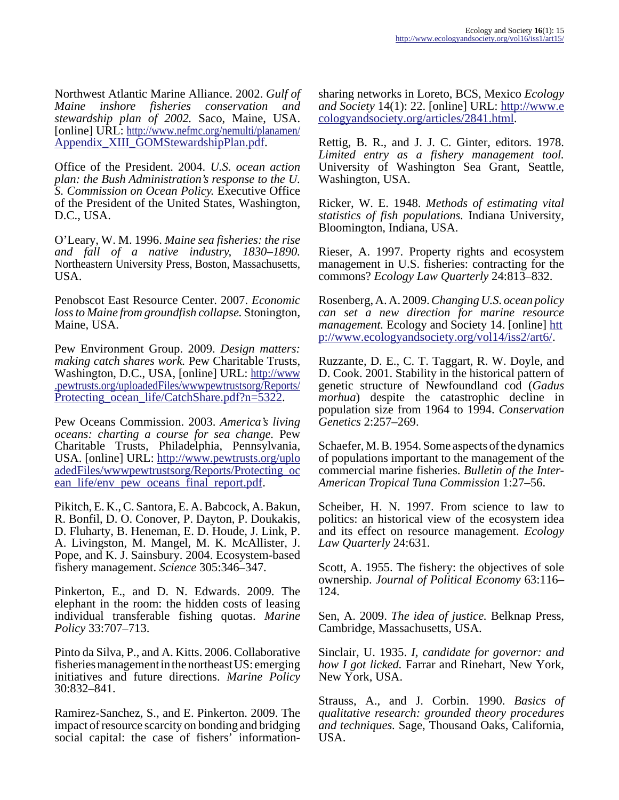Northwest Atlantic Marine Alliance. 2002. *Gulf of Maine inshore fisheries conservation and stewardship plan of 2002.* Saco, Maine, USA. [online] URL: [http://www.nefmc.org/nemulti/planamen/](http://www.nefmc.org/nemulti/planamen/Appendix_XIII_GOMStewardshipPlan.pdf) [Appendix\\_XIII\\_GOMStewardshipPlan.pdf.](http://www.nefmc.org/nemulti/planamen/Appendix_XIII_GOMStewardshipPlan.pdf)

Office of the President. 2004. *U.S. ocean action plan: the Bush Administration's response to the U. S. Commission on Ocean Policy.* Executive Office of the President of the United States, Washington, D.C., USA.

O'Leary, W. M. 1996. *Maine sea fisheries: the rise and fall of a native industry, 1830–1890.* Northeastern University Press, Boston, Massachusetts, USA.

Penobscot East Resource Center. 2007. *Economic loss to Maine from groundfish collapse.* Stonington, Maine, USA.

Pew Environment Group. 2009. *Design matters: making catch shares work.* Pew Charitable Trusts, Washington, D.C., USA, [online] URL: [http://www](http://www.pewtrusts.org/uploadedFiles/wwwpewtrustsorg/Reports/Protecting_ocean_life/CatchShare.pdf?n=5322) [.pewtrusts.org/uploadedFiles/wwwpewtrustsorg/Reports/](http://www.pewtrusts.org/uploadedFiles/wwwpewtrustsorg/Reports/Protecting_ocean_life/CatchShare.pdf?n=5322) Protecting ocean life/CatchShare.pdf?n=5322.

Pew Oceans Commission. 2003. *America's living oceans: charting a course for sea change.* Pew Charitable Trusts, Philadelphia, Pennsylvania, USA. [online] URL: [http://www.pewtrusts.org/uplo](http://www.pewtrusts.org/uploadedFiles/wwwpewtrustsorg/Reports/Protecting_ocean_life/env_pew_oceans_final_report.pdf) [adedFiles/wwwpewtrustsorg/Reports/Protecting\\_oc](http://www.pewtrusts.org/uploadedFiles/wwwpewtrustsorg/Reports/Protecting_ocean_life/env_pew_oceans_final_report.pdf) [ean\\_life/env\\_pew\\_oceans\\_final\\_report.pdf.](http://www.pewtrusts.org/uploadedFiles/wwwpewtrustsorg/Reports/Protecting_ocean_life/env_pew_oceans_final_report.pdf)

Pikitch, E. K., C. Santora, E. A. Babcock, A. Bakun, R. Bonfil, D. O. Conover, P. Dayton, P. Doukakis, D. Fluharty, B. Heneman, E. D. Houde, J. Link, P. A. Livingston, M. Mangel, M. K. McAllister, J. Pope, and K. J. Sainsbury. 2004. Ecosystem-based fishery management. *Science* 305:346–347.

Pinkerton, E., and D. N. Edwards. 2009. The elephant in the room: the hidden costs of leasing individual transferable fishing quotas. *Marine Policy* 33:707–713.

Pinto da Silva, P., and A. Kitts. 2006. Collaborative fisheries management in the northeast US: emerging initiatives and future directions. *Marine Policy* 30:832–841.

Ramirez-Sanchez, S., and E. Pinkerton. 2009. The impact of resource scarcity on bonding and bridging social capital: the case of fishers' informationsharing networks in Loreto, BCS, Mexico *Ecology and Society* 14(1): 22. [online] URL: [http://www.e](http://www.ecologyandsociety.org/articles/2841.html) [cologyandsociety.org/articles/2841.html](http://www.ecologyandsociety.org/articles/2841.html).

Rettig, B. R., and J. J. C. Ginter, editors. 1978. *Limited entry as a fishery management tool.* University of Washington Sea Grant, Seattle, Washington, USA.

Ricker, W. E. 1948. *Methods of estimating vital statistics of fish populations.* Indiana University, Bloomington, Indiana, USA.

Rieser, A. 1997. Property rights and ecosystem management in U.S. fisheries: contracting for the commons? *Ecology Law Quarterly* 24:813–832.

Rosenberg, A. A. 2009. *Changing U.S. ocean policy can set a new direction for marine resource management.* Ecology and Society 14. [online] [htt](http://www.ecologyandsociety.org/vol14/iss2/art6/) [p://www.ecologyandsociety.org/vol14/iss2/art6/](http://www.ecologyandsociety.org/vol14/iss2/art6/).

Ruzzante, D. E., C. T. Taggart, R. W. Doyle, and D. Cook. 2001. Stability in the historical pattern of genetic structure of Newfoundland cod (*Gadus morhua*) despite the catastrophic decline in population size from 1964 to 1994. *Conservation Genetics* 2:257–269.

Schaefer, M. B. 1954. Some aspects of the dynamics of populations important to the management of the commercial marine fisheries. *Bulletin of the Inter-American Tropical Tuna Commission* 1:27–56.

Scheiber, H. N. 1997. From science to law to politics: an historical view of the ecosystem idea and its effect on resource management. *Ecology Law Quarterly* 24:631.

Scott, A. 1955. The fishery: the objectives of sole ownership. *Journal of Political Economy* 63:116– 124.

Sen, A. 2009. *The idea of justice.* Belknap Press, Cambridge, Massachusetts, USA.

Sinclair, U. 1935. *I, candidate for governor: and how I got licked.* Farrar and Rinehart, New York, New York, USA.

Strauss, A., and J. Corbin. 1990. *Basics of qualitative research: grounded theory procedures and techniques.* Sage, Thousand Oaks, California, USA.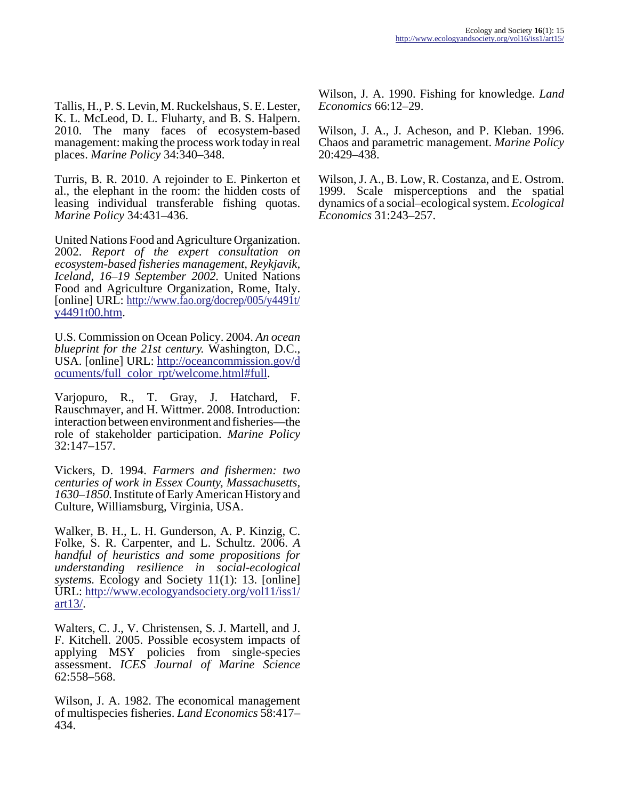Tallis, H., P. S. Levin, M. Ruckelshaus, S. E. Lester, K. L. McLeod, D. L. Fluharty, and B. S. Halpern. 2010. The many faces of ecosystem-based management: making the process work today in real places. *Marine Policy* 34:340–348.

Turris, B. R. 2010. A rejoinder to E. Pinkerton et al., the elephant in the room: the hidden costs of leasing individual transferable fishing quotas. *Marine Policy* 34:431–436.

United Nations Food and Agriculture Organization. 2002. *Report of the expert consultation on ecosystem-based fisheries management, Reykjavik, Iceland, 16–19 September 2002.* United Nations Food and Agriculture Organization, Rome, Italy. [online] URL: [http://www.fao.org/docrep/005/y4491t/](http://www.fao.org/docrep/005/y4491t/y4491t00.htm) [y4491t00.htm](http://www.fao.org/docrep/005/y4491t/y4491t00.htm).

U.S. Commission on Ocean Policy. 2004. *An ocean blueprint for the 21st century.* Washington, D.C., USA. [online] URL: [http://oceancommission.gov/d](http://oceancommission.gov/documents/full_color_rpt/welcome.html#full) [ocuments/full\\_color\\_rpt/welcome.html#full](http://oceancommission.gov/documents/full_color_rpt/welcome.html#full).

Varjopuro, R., T. Gray, J. Hatchard, F. Rauschmayer, and H. Wittmer. 2008. Introduction: interaction between environment and fisheries—the role of stakeholder participation. *Marine Policy* 32:147–157.

Vickers, D. 1994. *Farmers and fishermen: two centuries of work in Essex County, Massachusetts, 1630–1850.* Institute of Early American History and Culture, Williamsburg, Virginia, USA.

Walker, B. H., L. H. Gunderson, A. P. Kinzig, C. Folke, S. R. Carpenter, and L. Schultz. 2006. *A handful of heuristics and some propositions for understanding resilience in social-ecological systems.* Ecology and Society 11(1): 13. [online] URL: [http://www.ecologyandsociety.org/vol11/iss1/](http://www.ecologyandsociety.org/vol11/iss1/art13/) [art13/.](http://www.ecologyandsociety.org/vol11/iss1/art13/)

Walters, C. J., V. Christensen, S. J. Martell, and J. F. Kitchell. 2005. Possible ecosystem impacts of applying MSY policies from single-species assessment. *ICES Journal of Marine Science* 62:558–568.

Wilson, J. A. 1982. The economical management of multispecies fisheries. *Land Economics* 58:417– 434.

Wilson, J. A. 1990. Fishing for knowledge. *Land Economics* 66:12–29.

Wilson, J. A., J. Acheson, and P. Kleban. 1996. Chaos and parametric management. *Marine Policy* 20:429–438.

Wilson, J. A., B. Low, R. Costanza, and E. Ostrom. 1999. Scale misperceptions and the spatial dynamics of a social–ecological system. *Ecological Economics* 31:243–257.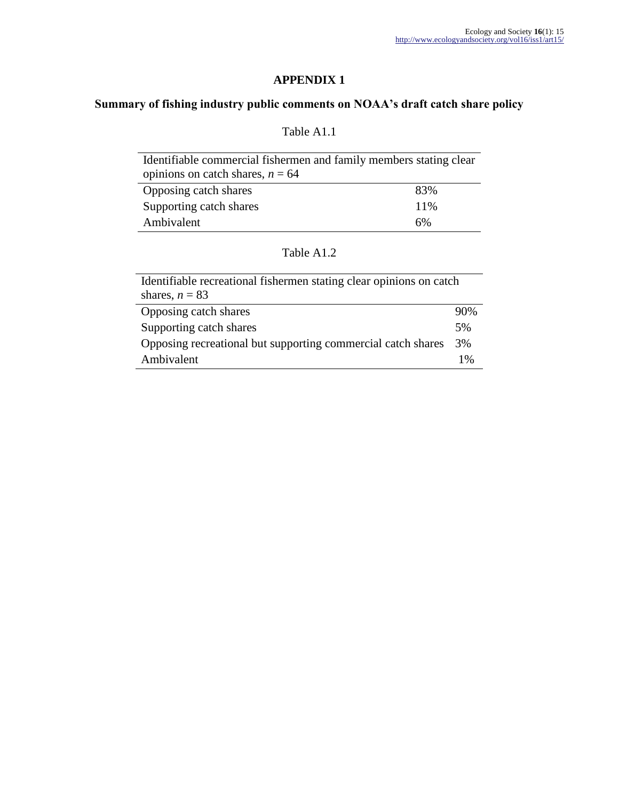# **APPENDIX 1**

# **Summary of fishing industry public comments on NOAA's draft catch share policy**

# Table A1.1

| Identifiable commercial fishermen and family members stating clear |     |  |
|--------------------------------------------------------------------|-----|--|
| opinions on catch shares, $n = 64$                                 |     |  |
| Opposing catch shares                                              | 83% |  |
| Supporting catch shares                                            | 11% |  |
| Ambivalent                                                         | 6%  |  |

# Table A1.2

| Identifiable recreational fishermen stating clear opinions on catch<br>shares, $n = 83$ |     |
|-----------------------------------------------------------------------------------------|-----|
| Opposing catch shares                                                                   | 90% |
| Supporting catch shares                                                                 | 5%  |
| Opposing recreational but supporting commercial catch shares                            | 3%  |
| Ambivalent                                                                              | 1%  |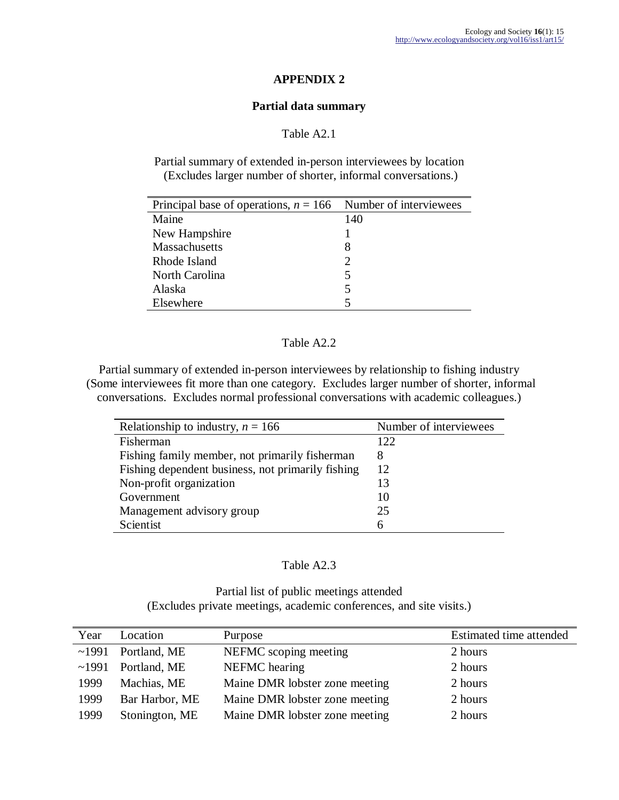### **APPENDIX 2**

### **Partial data summary**

## Table A2.1

Partial summary of extended in-person interviewees by location (Excludes larger number of shorter, informal conversations.)

| Principal base of operations, $n = 166$ Number of interviewees |                             |
|----------------------------------------------------------------|-----------------------------|
| Maine                                                          | 140                         |
| New Hampshire                                                  |                             |
| Massachusetts                                                  | 8                           |
| Rhode Island                                                   | $\mathcal{D}_{\mathcal{L}}$ |
| North Carolina                                                 | 5                           |
| Alaska                                                         | 5                           |
| Elsewhere                                                      |                             |

### Table A2.2

Partial summary of extended in-person interviewees by relationship to fishing industry (Some interviewees fit more than one category. Excludes larger number of shorter, informal conversations. Excludes normal professional conversations with academic colleagues.)

| Relationship to industry, $n = 166$               | Number of interviewees |
|---------------------------------------------------|------------------------|
| Fisherman                                         | 122.                   |
| Fishing family member, not primarily fisherman    | 8                      |
| Fishing dependent business, not primarily fishing | 12                     |
| Non-profit organization                           | 13                     |
| Government                                        | 10                     |
| Management advisory group                         | 25                     |
| Scientist                                         | 6                      |

#### Table A2.3

Partial list of public meetings attended (Excludes private meetings, academic conferences, and site visits.)

| Year  | Location       | Purpose                        | Estimated time attended |
|-------|----------------|--------------------------------|-------------------------|
| ~1991 | Portland, ME   | NEFMC scoping meeting          | 2 hours                 |
| ~1991 | Portland, ME   | NEFMC hearing                  | 2 hours                 |
| 1999  | Machias, ME    | Maine DMR lobster zone meeting | 2 hours                 |
| 1999  | Bar Harbor, ME | Maine DMR lobster zone meeting | 2 hours                 |
| 1999  | Stonington, ME | Maine DMR lobster zone meeting | 2 hours                 |